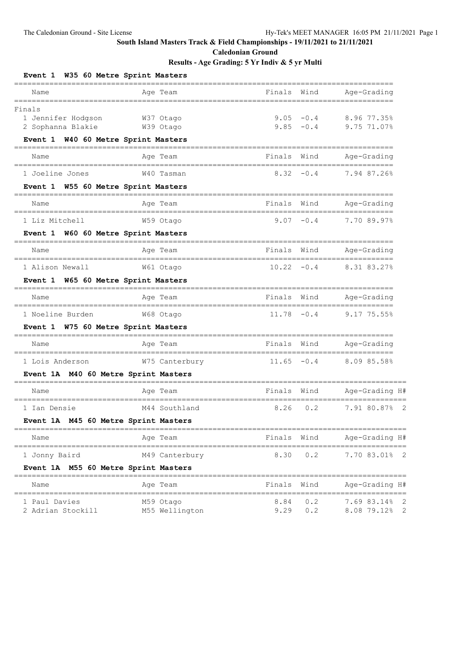**Caledonian Ground**

| W35 60 Metre Sprint Masters<br>Event 1                                                | _____________________  |                |                   |                              |                                                            |
|---------------------------------------------------------------------------------------|------------------------|----------------|-------------------|------------------------------|------------------------------------------------------------|
| Name                                                                                  | Age Team               |                | Finals            | Wind                         | Age-Grading                                                |
| --------------------------------<br>Finals<br>1 Jennifer Hodgson<br>2 Sophanna Blakie | W37 Otago<br>W39 Otago |                | ================= | $9.05 - 0.4$<br>$9.85 - 0.4$ | 8.96 77.35%<br>9.75 71.07%                                 |
| Event 1 W40 60 Metre Sprint Masters<br>--------------------------------------         |                        |                |                   |                              |                                                            |
| Name                                                                                  | Age Team               |                | Finals            | Wind                         | Age-Grading                                                |
| 1 Joeline Jones                                                                       | W40 Tasman             |                | 8.32              | $-0.4$                       | 7.94 87.26%                                                |
| Event 1 W55 60 Metre Sprint Masters                                                   |                        |                |                   |                              |                                                            |
| Name                                                                                  | Age Team               |                | Finals            | Wind                         | Age-Grading<br>==============                              |
| 1 Liz Mitchell                                                                        | W59 Otago              |                | 9.07              | $-0.4$                       | 7.70 89.97%                                                |
| Event 1 W60 60 Metre Sprint Masters                                                   |                        |                |                   |                              |                                                            |
| Name                                                                                  | Age Team               |                | Finals            | Wind                         | Age-Grading                                                |
| 1 Alison Newall                                                                       | W61 Otago              |                | $10.22 - 0.4$     |                              | 8.31 83.27%                                                |
| Event 1 W65 60 Metre Sprint Masters                                                   | =======                |                |                   |                              |                                                            |
| Name                                                                                  | Age Team               |                | Finals            | Wind                         | Age-Grading                                                |
| 1 Noeline Burden                                                                      | W68 Otago              |                | $11.78 - 0.4$     |                              | , ________________<br>9.17 75.55%                          |
| Event 1 W75 60 Metre Sprint Masters                                                   |                        |                |                   |                              |                                                            |
| Name                                                                                  | Age Team               |                | Finals            | Wind                         | Age-Grading                                                |
| 1 Lois Anderson                                                                       |                        | W75 Canterbury | 11.65             | $-0.4$                       | ;=================<br>8.09 85.58%                          |
| Event 1A M40 60 Metre Sprint Masters                                                  |                        |                |                   |                              |                                                            |
| Name                                                                                  | Age Team               |                | Finals            | Wind                         | Age-Grading H#                                             |
| 1 Ian Densie                                                                          |                        | M44 Southland  | 8.26              | 0.2                          | 7.91 80.87%<br>$\overline{\phantom{0}}^2$                  |
| Event 1A M45 60 Metre Sprint Masters                                                  |                        |                |                   |                              |                                                            |
| Name                                                                                  | Age Team               |                | Finals Wind       |                              | Age-Grading H#                                             |
| 1 Jonny Baird                                                                         |                        | M49 Canterbury |                   | $8.30 \t 0.2$                | 7.70 83.01% 2                                              |
| Event 1A M55 60 Metre Sprint Masters                                                  |                        |                |                   |                              |                                                            |
| Name                                                                                  | Age Team               |                | Finals            | Wind                         | Age-Grading H#                                             |
| 1 Paul Davies<br>2 Adrian Stockill                                                    | M59 Otago              | M55 Wellington | 8.84              | 0.2<br>$9.29$ 0.2            | $\overline{\phantom{0}}^2$<br>7.69 83.14%<br>8.08 79.12% 2 |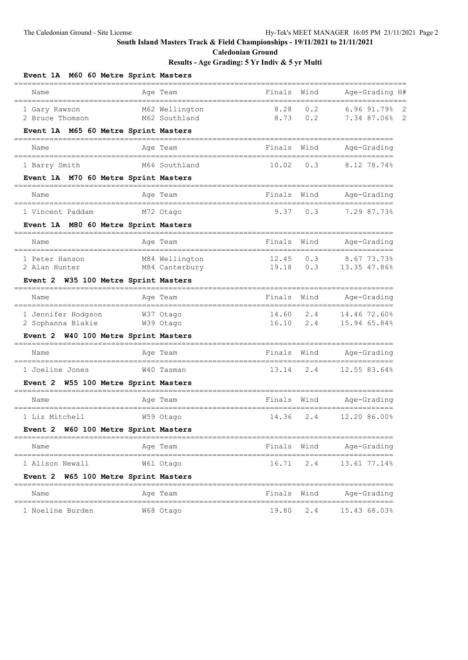**Caledonian Ground**

| Event 1A M60 60 Metre Sprint Masters                                           | -----------------------------                       |             |                                |
|--------------------------------------------------------------------------------|-----------------------------------------------------|-------------|--------------------------------|
| =====<br>Name<br>------------------------------------                          | Finals<br>Age Team<br>----------------------------- | Wind        | Age-Grading H#                 |
| 1 Gary Rawson<br>2 Bruce Thomson                                               | 8.28<br>M62 Wellington<br>8.73<br>M62 Southland     | 0.2<br>0.2  | 6.96 91.79% 2<br>7.34 87.06% 2 |
| Event 1A M65 60 Metre Sprint Masters                                           |                                                     |             |                                |
| Name<br>;===========================                                           | Finals<br>Age Team                                  | Wind        | Age-Grading                    |
| 1 Barry Smith                                                                  | M66 Southland<br>10.02                              | 0.3         | 8.12 78.74%                    |
| Event 1A M70 60 Metre Sprint Masters<br>====================================== | ,,,,,,,,,,,,,,,,,                                   |             |                                |
| Name                                                                           | Finals<br>Age Team                                  | Wind        | Age-Grading                    |
| 1 Vincent Paddam                                                               | 9.37<br>M72 Otago                                   | 0.3         | 7.29 87.73%                    |
| Event 1A M80 60 Metre Sprint Masters                                           |                                                     |             |                                |
| Name                                                                           | Finals<br>Age Team                                  | Wind        | Age-Grading                    |
| 1 Peter Hanson                                                                 | M84 Wellington<br>12.45                             | 0.3         | 8.67 73.73%                    |
| 2 Alan Hunter<br>Event 2 W35 100 Metre Sprint Masters                          | M84 Canterbury<br>19.18                             | 0.3         | 13.35 47.86%                   |
| Name                                                                           | Finals<br>Age Team                                  | Wind        | Age-Grading                    |
| 1 Jennifer Hodgson                                                             | 14.60<br>W37 Otago                                  | 2.4         | 14.46 72.60%                   |
| 2 Sophanna Blakie                                                              | W39 Otago<br>16.10                                  | 2.4         | 15.94 65.84%                   |
| W40 100 Metre Sprint Masters<br><b>Event 2</b>                                 |                                                     |             |                                |
| Name                                                                           | Finals<br>Age Team                                  | Wind        | Age-Grading                    |
| 1 Joeline Jones                                                                | 13.14<br>W40 Tasman                                 | 2.4         | 12.55 83.64%                   |
| W55 100 Metre Sprint Masters<br>Event 2                                        |                                                     |             |                                |
| Name                                                                           | Age Team<br>Finals                                  | Wind        | Age-Grading                    |
| 1 Liz Mitchell                                                                 | W59 Otago<br>14.36                                  | 2.4         | 12.20 86.00%                   |
| Event 2 W60 100 Metre Sprint Masters                                           |                                                     |             |                                |
| Name                                                                           | Age Team                                            | Finals Wind | Age-Grading                    |
| 1 Alison Newall                                                                | W61 Otago                                           | 16.71 2.4   | 13.61 77.14%                   |
| Event 2 W65 100 Metre Sprint Masters                                           |                                                     |             |                                |
| Name                                                                           | Age Team                                            |             | Finals Wind Age-Grading        |
| 1 Noeline Burden                                                               | W68 Otago                                           | 19.80 2.4   | 15.43 68.03%                   |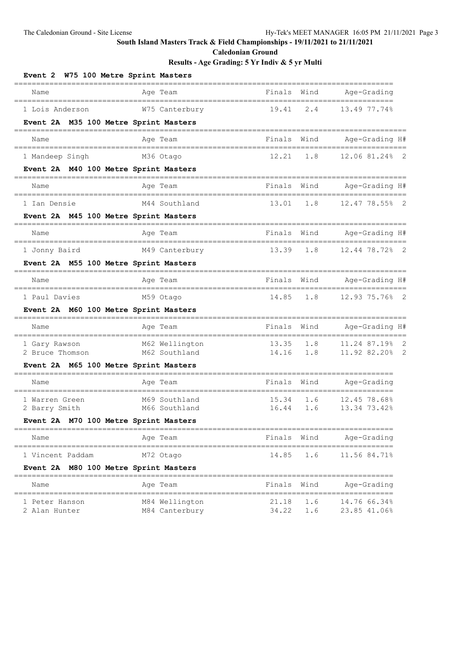**Caledonian Ground**

| Event 2 W75 100 Metre Sprint Masters                              |                                         |                                    |            |                                                       |
|-------------------------------------------------------------------|-----------------------------------------|------------------------------------|------------|-------------------------------------------------------|
| Name                                                              | Age Team                                | Finals                             | Wind       | Age-Grading                                           |
| 1 Lois Anderson                                                   | W75 Canterbury                          | 19.41                              | 2.4        | 13.49 77.74%                                          |
| Event 2A M35 100 Metre Sprint Masters                             |                                         |                                    |            |                                                       |
| Name<br>;===================================                      | Age Team                                | Finals                             | Wind       | Age-Grading H#<br>-------------------                 |
| 1 Mandeep Singh                                                   | M36 Otago                               | 12.21                              | 1.8        | 12.06 81.24% 2                                        |
| Event 2A M40 100 Metre Sprint Masters                             |                                         |                                    |            |                                                       |
| Name                                                              | Age Team                                | Finals<br>======                   | Wind       | Age-Grading H#<br>==================                  |
| 1 Ian Densie                                                      | M44 Southland                           | 13.01                              | 1.8        | 12.47 78.55% 2                                        |
| Event 2A M45 100 Metre Sprint Masters                             |                                         |                                    |            |                                                       |
| Name<br>___________________________________                       | Age Team<br>-----------------------     | Finals                             | Wind       | Age-Grading H#<br>==================                  |
| 1 Jonny Baird                                                     | M49 Canterbury                          | 13.39                              | 1.8        | 12.44 78.72% 2                                        |
| Event 2A M55 100 Metre Sprint Masters                             |                                         |                                    |            |                                                       |
| Name<br>------------------------------------                      | Age Team                                | Finals Wind<br>______              |            | Age-Grading H#<br>------------------                  |
| 1 Paul Davies                                                     | M59 Otago                               | 14.85                              | 1.8        | 12.93 75.76% 2                                        |
| Event 2A M60 100 Metre Sprint Masters                             |                                         |                                    |            |                                                       |
| Name<br>=====================                                     | Age Team<br>===========<br>------------ | Finals<br>-------<br>========      | Wind       | Age-Grading H#<br>======================              |
| 1 Gary Rawson                                                     | M62 Wellington                          | 13.35                              | 1.8        | 11.24 87.19% 2                                        |
| 2 Bruce Thomson<br>Event 2A M65 100 Metre Sprint Masters          | M62 Southland                           | 14.16                              | 1.8        | 11.92 82.20% 2                                        |
| Name                                                              |                                         | Finals Wind                        |            | Age-Grading                                           |
|                                                                   | Age Team<br>-------------------         |                                    |            |                                                       |
| 1 Warren Green<br>2 Barry Smith                                   | M69 Southland<br>M66 Southland          | 15.34<br>16.44                     | 1.6<br>1.6 | 12.45 78.68%<br>13.34 73.42%                          |
| Event 2A M70 100 Metre Sprint Masters                             |                                         |                                    |            |                                                       |
| Name                                                              | =========<br>Age Team                   | Finals                             | Wind       | =================<br>Age-Grading                      |
| 1 Vincent Paddam                                                  | M72 Otago                               | 14.85                              | 1.6        | 11.56 84.71%                                          |
| <b>Event 2A</b>                                                   | M80 100 Metre Sprint Masters            |                                    |            |                                                       |
| Name                                                              | =====<br>Age Team                       | Finals                             | Wind       | Age-Grading                                           |
| ==============================<br>1 Peter Hanson<br>2 Alan Hunter | M84 Wellington<br>M84 Canterbury        | ================<br>21.18<br>34.22 | 1.6<br>1.6 | _____________________<br>14.76 66.34%<br>23.85 41.06% |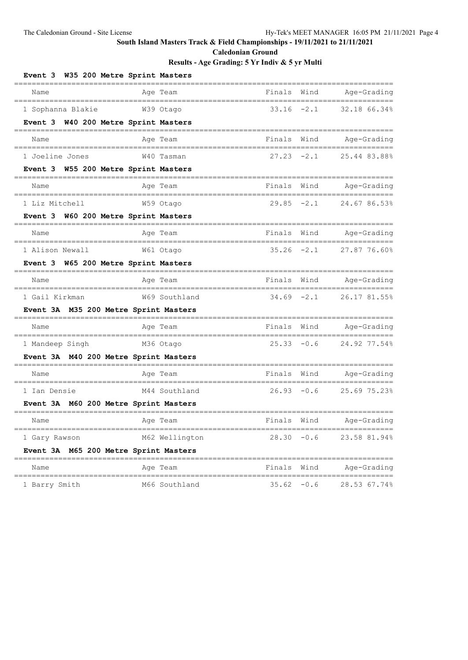**Caledonian Ground**

| Event 3 W35 200 Metre Sprint Masters                    |                                       |                                             |
|---------------------------------------------------------|---------------------------------------|---------------------------------------------|
| Name<br>Aqe Team                                        | Finals                                | Wind<br>Age-Grading                         |
| 1 Sophanna Blakie<br>W39 Otago                          | $33.16 - 2.1$                         | 32.18 66.34%                                |
| Event 3 W40 200 Metre Sprint Masters                    |                                       |                                             |
| Name<br>Age Team                                        | Finals                                | Wind<br>Age-Grading<br>==================== |
| 1 Joeline Jones                                         | $27.23 -2.1$<br>W40 Tasman            | 25.44 83.88%                                |
| Event 3 W55 200 Metre Sprint Masters                    |                                       |                                             |
| Name<br>Age Team                                        | Finals                                | Wind<br>Age-Grading<br>================     |
| 1 Liz Mitchell<br>W59 Otago                             | $29.85 -2.1$                          | 24.67 86.53%                                |
| Event 3 W60 200 Metre Sprint Masters                    |                                       |                                             |
| Name<br>Age Team                                        | Finals                                | Wind<br>Age-Grading                         |
| 1 Alison Newall<br>W61 Otago                            | $35.26 -2.1$                          | 27.87 76.60%                                |
| Event 3 W65 200 Metre Sprint Masters                    |                                       |                                             |
| Name<br>Age Team<br>----------------------------------- | Finals<br>--------------------------- | Wind<br>Age-Grading<br>==================== |
| 1 Gail Kirkman                                          | $34.69 - 2.1$<br>W69 Southland        | 26.17 81.55%                                |
| Event 3A M35 200 Metre Sprint Masters                   |                                       |                                             |
| Name<br>Age Team<br>======                              | Finals                                | Wind<br>Age-Grading<br>===============      |
| 1 Mandeep Singh<br>M36 Otago                            | $25.33 - 0.6$                         | 24.92 77.54%                                |
| Event 3A M40 200 Metre Sprint Masters                   |                                       |                                             |
| Age Team<br>Name                                        | Finals                                | Wind<br>Age-Grading                         |
| 1 Ian Densie                                            | $26.93 - 0.6$<br>M44 Southland        | 25.69 75.23%                                |
| Event 3A M60 200 Metre Sprint Masters                   |                                       |                                             |
| Age Team<br>Name                                        | Finals                                | Wind<br>Age-Grading<br>============         |
| 1 Gary Rawson                                           | M62 Wellington                        | $28.30 - 0.6$<br>23.58 81.94%               |
| Event 3A M65 200 Metre Sprint Masters                   |                                       |                                             |
| Name<br>Age Team                                        | Finals Wind                           | Age-Grading                                 |
| 1 Barry Smith                                           | M66 Southland<br>$35.62 -0.6$         | 28.53 67.74%                                |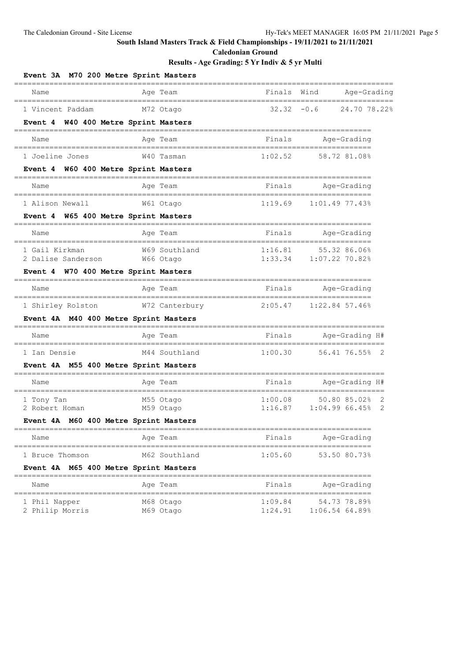**Caledonian Ground**

| Event 3A M70 200 Metre Sprint Masters                      |           |                |                                     |                                          |   |
|------------------------------------------------------------|-----------|----------------|-------------------------------------|------------------------------------------|---|
| Name                                                       |           | Age Team       | Finals                              | Wind<br>Age-Grading                      |   |
| 1 Vincent Paddam                                           |           | M72 Otago      |                                     | $32.32 - 0.6$<br>24.70 78.22%            |   |
| Event 4 W40 400 Metre Sprint Masters                       |           |                |                                     |                                          |   |
| Name                                                       |           | Age Team       | Finals                              | Age-Grading<br>====================      |   |
| 1 Joeline Jones                                            |           | W40 Tasman     | 1:02.52                             | 58.72 81.08%                             |   |
| Event 4 W60 400 Metre Sprint Masters                       |           |                |                                     |                                          |   |
| Name                                                       |           | Age Team       | Finals                              | Age-Grading<br>---------------------     |   |
| 1 Alison Newall                                            |           | W61 Otago      | 1:19.69                             | 1:01.4977.43%                            |   |
| Event 4 W65 400 Metre Sprint Masters                       |           |                |                                     |                                          |   |
| Name                                                       |           | Age Team       | Finals                              | Age-Grading                              |   |
| 1 Gail Kirkman                                             |           | W69 Southland  | 1:16.81                             | 55.32 86.06%                             |   |
| 2 Dalise Sanderson<br>Event 4 W70 400 Metre Sprint Masters | W66 Otago |                |                                     | 1:33.34 1:07.22 70.82%                   |   |
| Name                                                       |           | Age Team       | Finals                              | Age-Grading                              |   |
| ================================<br>1 Shirley Rolston      |           | W72 Canterbury | =======================<br>2:05.47  | ====================<br>$1:22.84$ 57.46% |   |
| Event 4A M40 400 Metre Sprint Masters                      |           |                |                                     |                                          |   |
| Name                                                       |           | Age Team       | Finals                              | Age-Grading H#                           |   |
| ---------------------<br>1 Ian Densie                      |           | M44 Southland  | ________________________<br>1:00.30 | 56.41 76.55% 2                           |   |
| Event 4A M55 400 Metre Sprint Masters                      |           |                |                                     |                                          |   |
| Name                                                       |           | Age Team       | Finals                              | Age-Grading H#<br>-----------------      |   |
| 1 Tony Tan                                                 |           | M55 Otago      | 1:00.08                             | 50.80 85.02%                             | 2 |
| 2 Robert Homan<br>Event 4A M60 400 Metre Sprint Masters    |           | M59 Otago      | 1:16.87                             | 1:04.9966.45%                            | 2 |
|                                                            |           | ======         |                                     |                                          |   |
| Name                                                       |           | Age Team       | Finals                              | Age-Grading                              |   |
| 1 Bruce Thomson                                            |           | M62 Southland  | 1:05.60                             | 53.50 80.73%                             |   |
| M65 400 Metre Sprint Masters<br><b>Event 4A</b>            |           |                |                                     |                                          |   |
| Name                                                       |           | Age Team       | Finals                              | Age-Grading                              |   |
| 1 Phil Napper                                              |           | M68 Otago      | 1:09.84                             | 54.73 78.89%                             |   |
| 2 Philip Morris                                            |           | M69 Otago      | 1:24.91                             | $1:06.54$ 64.89%                         |   |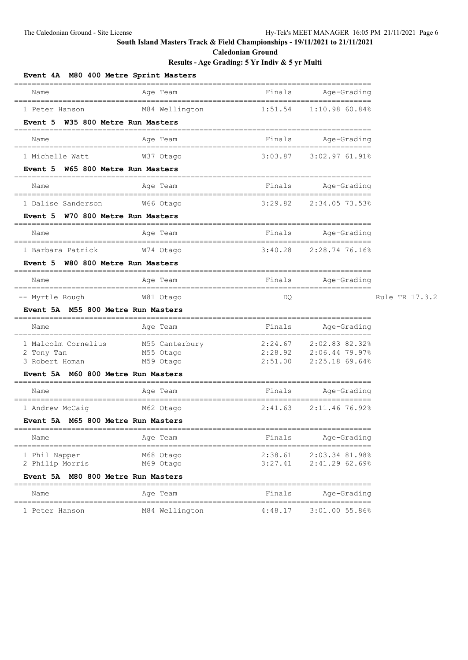**Caledonian Ground**

| Event 4A M80 400 Metre Sprint Masters | ==========                                        | ========================= |                                                   |                |
|---------------------------------------|---------------------------------------------------|---------------------------|---------------------------------------------------|----------------|
| Name                                  | Age Team<br>========================              | Finals                    | Age-Grading<br>====================               |                |
| 1 Peter Hanson                        | M84 Wellington                                    | 1:51.54                   | 1:10.9860.84%                                     |                |
| Event 5 W35 800 Metre Run Masters     | ==========================                        |                           |                                                   |                |
| Name                                  | Age Team                                          | Finals                    | Age-Grading<br>--------------------               |                |
| 1 Michelle Watt                       | W37 Otago                                         | 3:03.87                   | $3:02.9761.91$ <sup>8</sup>                       |                |
| Event 5 W65 800 Metre Run Masters     |                                                   |                           |                                                   |                |
| Name                                  | Age Team<br>___________________________________   | Finals                    | Age-Grading<br>==================                 |                |
| 1 Dalise Sanderson                    | W66 Otago                                         | 3:29.82                   | 2:34.05 73.53%                                    |                |
| Event 5 W70 800 Metre Run Masters     |                                                   |                           |                                                   |                |
| Name                                  | Age Team<br>------------------------------------- | Finals                    | Age-Grading<br>===================                |                |
| 1 Barbara Patrick                     | W74 Otago                                         | 3:40.28                   | 2:28.74 76.16%                                    |                |
| W80 800 Metre Run Masters<br>Event 5  | ============                                      |                           |                                                   |                |
| Name                                  | Age Team<br>==================                    | Finals                    | Age-Grading<br>__________________________________ |                |
| -- Myrtle Rough                       | W81 Otago                                         | DQ                        |                                                   | Rule TR 17.3.2 |
| Event 5A M55 800 Metre Run Masters    | ======================================            |                           | =================                                 |                |
| Name                                  | Age Team<br>=================                     | Finals<br>===========     | Age-Grading<br>===============                    |                |
| 1 Malcolm Cornelius                   | M55 Canterbury                                    | 2:24.67                   | 2:02.83 82.32%                                    |                |
| 2 Tony Tan<br>3 Robert Homan          | M55 Otago<br>M59 Otago                            | 2:28.92                   | 2:06.44 79.97%<br>2:51.00 2:25.18 69.64%          |                |
| Event 5A M60 800 Metre Run Masters    |                                                   |                           |                                                   |                |
| Name                                  | Age Team                                          | Finals                    | Age-Grading                                       |                |
| 1 Andrew McCaig                       | -----<br>=========================<br>M62 Otago   | 2:41.63                   | 2:11.46 76.92%                                    |                |
| Event 5A M65 800 Metre Run Masters    | ===============                                   |                           | =================================                 |                |
| Name                                  | Age Team                                          | Finals                    | Age-Grading                                       |                |
| 1 Phil Napper                         | M68 Otago                                         | 2:38.61                   | 2:03.34 81.98%                                    |                |
| 2 Philip Morris                       | M69 Otago                                         | 3:27.41                   | 2:41.29 62.69%                                    |                |
| Event 5A M80 800 Metre Run Masters    |                                                   |                           |                                                   |                |
| Name                                  | Age Team                                          | Finals                    | Age-Grading                                       |                |
| 1 Peter Hanson                        | M84 Wellington                                    | 4:48.17                   | 3:01.00 55.86%                                    |                |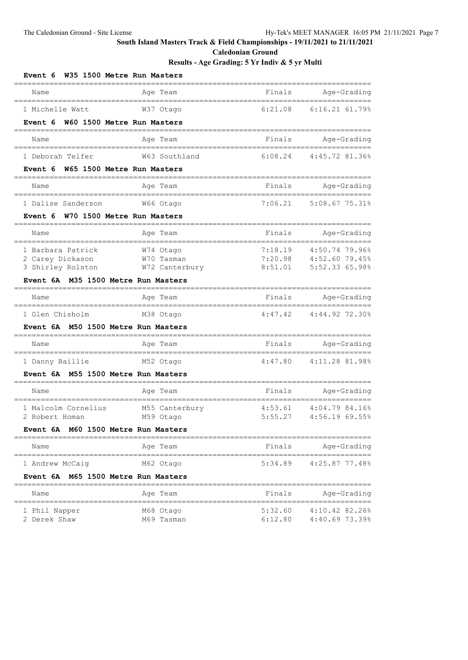**Caledonian Ground**

| W35 1500 Metre Run Masters<br>Event 6         | =================            |                    |                                                  |
|-----------------------------------------------|------------------------------|--------------------|--------------------------------------------------|
| Name                                          | Age Team                     | Finals             | Age-Grading                                      |
| 1 Michelle Watt                               | W37 Otago                    |                    | 6:21.08 6:16.21 61.79%                           |
| W60 1500 Metre Run Masters<br>Event 6         |                              |                    |                                                  |
| Name                                          | Age Team                     | Finals             | Age-Grading                                      |
| 1 Deborah Telfer                              | W63 Southland                | 6:08.24            | 4:45.72 81.36%                                   |
| W65 1500 Metre Run Masters<br>Event 6         |                              |                    |                                                  |
| Name<br>===================================== | Age Team                     | Finals             | Age-Grading                                      |
| 1 Dalise Sanderson                            | W66 Otago                    | 7:06.21            | 5:08.67 75.31%                                   |
| W70 1500 Metre Run Masters<br>Event 6         |                              |                    |                                                  |
| Name                                          | Age Team                     | Finals             | Age-Grading                                      |
| 1 Barbara Patrick                             | W74 Otago                    | 7:18.19            | 4:50.74 79.96%                                   |
| 2 Carey Dickason<br>3 Shirley Rolston         | W70 Tasman<br>W72 Canterbury | 7:20.98<br>8:51.01 | 4:52.60 79.45%<br>5:52.33 65.98%                 |
| Event 6A M35 1500 Metre Run Masters           |                              |                    |                                                  |
| Name                                          | Age Team                     | Finals             | Age-Grading                                      |
| 1 Glen Chisholm                               | M38 Otaqo                    | 4:47.42            | 4:44.92 72.30%                                   |
| Event 6A M50 1500 Metre Run Masters           |                              |                    |                                                  |
| Name                                          | Age Team                     | Finals             | Age-Grading<br>=================                 |
| 1 Danny Baillie                               | M52 Otago                    | 4:47.80            | 4:11.28 81.98%                                   |
| Event 6A M55 1500 Metre Run Masters           |                              |                    |                                                  |
| Name                                          | Age Team                     | Finals             | Age-Grading                                      |
| 1 Malcolm Cornelius                           | M55 Canterbury               | 4:53.61            | 4:04.79 84.16%                                   |
| 2 Robert Homan                                | M59 Otago                    | 5:55.27            | 4:56.19 69.55%                                   |
| Event 6A M60 1500 Metre Run Masters           |                              |                    |                                                  |
| Name                                          | Age Team                     |                    | Finals Age-Grading                               |
| 1 Andrew McCaig                               | M62 Otago                    |                    | $5:34.89$ $4:25.87$ 77.48%                       |
| Event 6A M65 1500 Metre Run Masters           |                              |                    |                                                  |
| Name                                          | Age Team                     | Finals             | Age-Grading                                      |
| 1 Phil Napper<br>2 Derek Shaw                 | M68 Otago<br>M69 Tasman      |                    | 5:32.60 4:10.42 82.26%<br>6:12.80 4:40.69 73.39% |
|                                               |                              |                    |                                                  |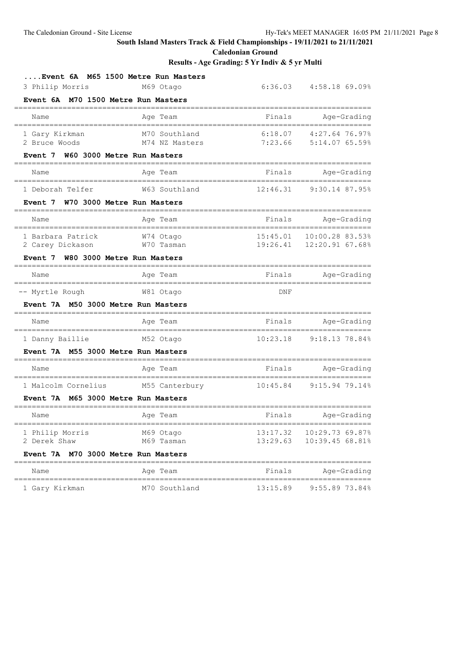**Caledonian Ground**

| Event 6A M65 1500 Metre Run Masters          |                                        |          |                                                         |
|----------------------------------------------|----------------------------------------|----------|---------------------------------------------------------|
| 3 Philip Morris                              | M69 Otago                              |          | 6:36.03 4:58.18 69.09%                                  |
| Event 6A M70 1500 Metre Run Masters          |                                        |          |                                                         |
| Name                                         | Age Team                               | Finals   | Age-Grading                                             |
| 1 Gary Kirkman<br>2 Bruce Woods              | M70 Southland<br>M74 NZ Masters        |          | 6:18.07 4:27.64 76.97%<br>7:23.66 5:14.07 65.59%        |
| Event 7 W60 3000 Metre Run Masters           |                                        |          |                                                         |
| Name                                         | Age Team                               |          | Finals Age-Grading                                      |
| 1 Deborah Telfer                             | W63 Southland                          |          | 12:46.31 9:30.14 87.95%                                 |
| Event 7 W70 3000 Metre Run Masters           |                                        |          |                                                         |
| Name                                         | Age Team                               |          | Finals Age-Grading                                      |
| 1 Barbara Patrick<br>2 Carey Dickason        | W74 Otago<br>W70 Tasman                |          | 15:45.01  10:00.28 83.53%<br>19:26.41  12:20.91  67.68% |
| Event 7 W80 3000 Metre Run Masters           |                                        |          |                                                         |
| Name                                         | Age Team                               |          | Finals Age-Grading                                      |
| -- Myrtle Rough                              | W81 Otago                              | DNF      |                                                         |
| Event 7A M50 3000 Metre Run Masters          |                                        |          |                                                         |
| Name                                         | Age Team                               |          | Finals Age-Grading                                      |
| 1 Danny Baillie                              | M52 Otago                              |          | $10:23.18$ 9:18.13 78.84%                               |
| Event 7A M55 3000 Metre Run Masters          |                                        |          |                                                         |
| Name<br>------------------------------------ | Age Team<br>========================== | Finals   | Age-Grading<br>================<br>$=$ $=$              |
| 1 Malcolm Cornelius                          | M55 Canterbury 10:45.84 9:15.94 79.14% |          |                                                         |
| Event 7A M65 3000 Metre Run Masters          |                                        |          |                                                         |
| Name                                         | Age Team                               | Finals   | Age-Grading                                             |
| 1 Philip Morris<br>2 Derek Shaw              | M69 Otago<br>M69 Tasman                | 13:29.63 | 13:17.32  10:29.73  69.87%<br>10:39.45 68.81%           |
| Event 7A M70 3000 Metre Run Masters          |                                        |          |                                                         |
| Name                                         | Age Team                               | Finals   | Age-Grading                                             |
| 1 Gary Kirkman                               | M70 Southland                          | 13:15.89 | 9:55.89 73.84%                                          |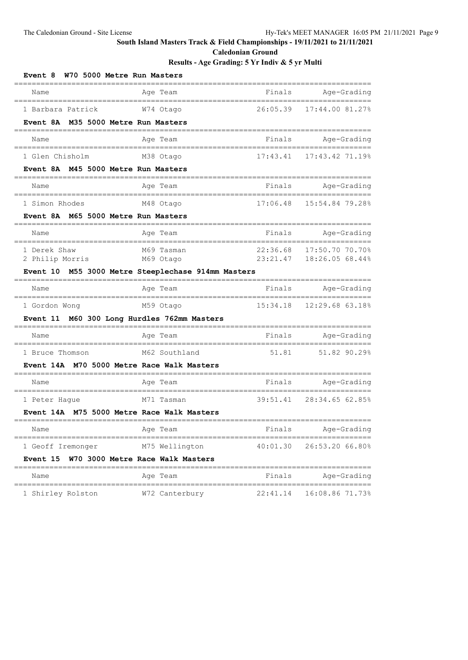**Caledonian Ground**

| W70 5000 Metre Run Masters<br><b>Event 8</b>                             |                                                       |          |                                                        |
|--------------------------------------------------------------------------|-------------------------------------------------------|----------|--------------------------------------------------------|
| Name                                                                     | Age Team                                              | Finals   | Age-Grading                                            |
| 1 Barbara Patrick                                                        | W74 Otago                                             | 26:05.39 | 17:44.00 81.27%                                        |
| M35 5000 Metre Run Masters<br>Event 8A                                   |                                                       |          |                                                        |
| Name                                                                     | Age Team                                              | Finals   | Age-Grading                                            |
| ===================================<br>1 Glen Chisholm                   | M38 Otago                                             |          | 17:43.41  17:43.42  71.19%                             |
| Event 8A M45 5000 Metre Run Masters                                      |                                                       |          |                                                        |
| Name                                                                     | Age Team                                              | Finals   | Age-Grading                                            |
| ===================================<br>1 Simon Rhodes                    | M48 Otago                                             |          | 17:06.48  15:54.84  79.28%                             |
| Event 8A M65 5000 Metre Run Masters                                      |                                                       |          |                                                        |
| Name                                                                     | Age Team                                              | Finals   | Age-Grading                                            |
| -------------------------------------<br>1 Derek Shaw<br>2 Philip Morris | M69 Tasman<br>M69 Otago                               |          | 22:36.68 17:50.70 70.70%<br>23:21.47  18:26.05  68.44% |
|                                                                          | Event 10 M55 3000 Metre Steeplechase 914mm Masters    |          |                                                        |
| Name                                                                     | Age Team                                              | Finals   | Age-Grading                                            |
| 1 Gordon Wong                                                            | M59 Otago                                             | 15:34.18 | 12:29.68 63.18%                                        |
| Event 11 M60 300 Long Hurdles 762mm Masters                              |                                                       |          |                                                        |
| Name                                                                     | Age Team                                              |          | Finals Age-Grading<br>________________                 |
| 1 Bruce Thomson                                                          | =====================<br>M62 Southland                | 51.81    | 51.82 90.29%                                           |
| <b>Event 14A</b>                                                         | M70 5000 Metre Race Walk Masters                      |          |                                                        |
| Name                                                                     | Age Team<br>;=======================                  |          | Finals Age-Grading<br>________________                 |
| 1 Peter Hague                                                            | M71 Tasman                                            | 39:51.41 | 28:34.65 62.85%                                        |
| Event 14A M75 5000 Metre Race Walk Masters                               |                                                       |          |                                                        |
| Name                                                                     | Age Team                                              | Finals   | Age-Grading                                            |
| 1 Geoff Iremonger                                                        | M75 Wellington                                        | 40:01.30 | 26:53.20 66.80%                                        |
| <b>Event 15</b>                                                          | W70 3000 Metre Race Walk Masters<br>================= |          |                                                        |
| Name                                                                     | Age Team                                              | Finals   | Age-Grading                                            |
| 1 Shirley Rolston                                                        | W72 Canterbury                                        | 22:41.14 | 16:08.86 71.73%                                        |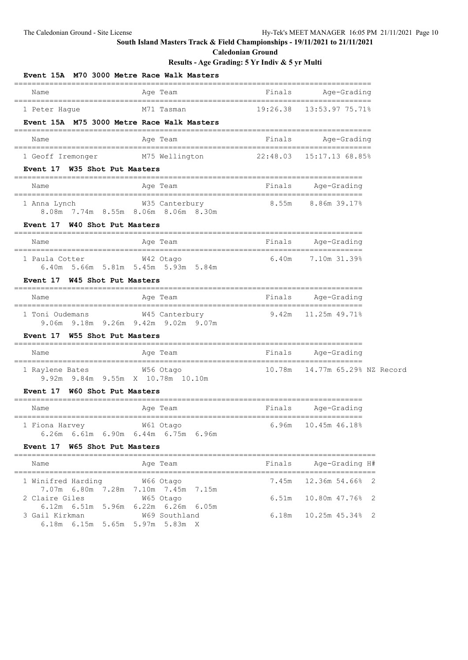**Caledonian Ground**

| Event 15A M70 3000 Metre Race Walk Masters                                               |                         |        |                              |
|------------------------------------------------------------------------------------------|-------------------------|--------|------------------------------|
| Name                                                                                     | Age Team                | Finals | Age-Grading                  |
| 1 Peter Haque<br>Event 15A M75 3000 Metre Race Walk Masters                              | M71 Tasman              |        |                              |
| Name                                                                                     | Age Team                | Finals | Aqe-Grading                  |
| 1 Geoff Iremonger                                                                        | M75 Wellington          |        | $22:48.03$ $15:17.13$ 68.85% |
| Event 17 W35 Shot Put Masters                                                            |                         |        |                              |
| Name                                                                                     | Aqe Team                |        | Finals Age-Grading           |
| 1 Anna Lynch<br>8.08m 7.74m 8.55m 8.06m 8.06m 8.30m<br>Event 17 W40 Shot Put Masters     | W35 Canterbury          |        | 8.55m 8.86m 39.17%           |
| Name                                                                                     | Age Team                | Finals | Aqe-Grading                  |
| 1 Paula Cotter<br>6.40m 5.66m 5.81m 5.45m 5.93m 5.84m                                    | W42 Otago               |        | $6.40m$ $7.10m$ $31.39\%$    |
| <b>Event 17</b><br>W45 Shot Put Masters                                                  |                         |        |                              |
| Name                                                                                     | Age Team                | Finals | Age-Grading                  |
| 1 Toni Oudemans<br>9.06m 9.18m 9.26m 9.42m 9.02m 9.07m                                   | W45 Canterbury          |        | $9.42m$ $11.25m$ $49.71\%$   |
| Event 17 W55 Shot Put Masters                                                            |                         |        |                              |
| Name                                                                                     | Age Team<br>___________ | Finals | Age-Grading                  |
| 1 Raylene Bates 6 656 Otago<br>9.92m 9.84m 9.55m X 10.78m 10.10m                         |                         | 10.78m | 14.77m 65.29% NZ Record      |
| Event 17<br>W60 Shot Put Masters                                                         | ============            |        |                              |
| Name                                                                                     | Age Team                | Finals | Age-Grading                  |
| W61 Otago<br>1 Fiona Harvey<br>6.26m 6.61m 6.90m 6.44m 6.75m 6.96m                       |                         |        | 6.96m 10.45m 46.18%          |
| Event 17 W65 Shot Put Masters                                                            |                         |        |                              |
| Name                                                                                     | Age Team                | Finals | Age-Grading H#               |
| 1 Winifred Harding                                                                       | W66 Otago               | 7.45m  | 12.36m 54.66% 2              |
| 7.07m 6.80m 7.28m 7.10m 7.45m 7.15m<br>2 Claire Giles                                    | W65 Otago               | 6.51m  | 10.80m 47.76% 2              |
| 6.12m 6.51m 5.96m 6.22m 6.26m 6.05m<br>3 Gail Kirkman<br>6.18m 6.15m 5.65m 5.97m 5.83m X | W69 Southland           | 6.18m  | 10.25m 45.34% 2              |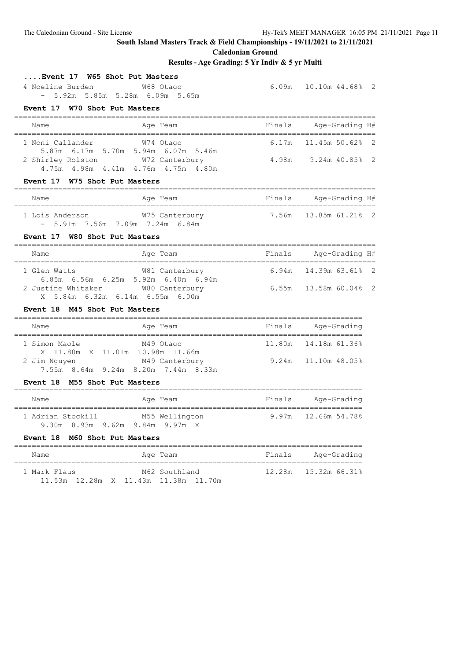**Caledonian Ground**

## **Results - Age Grading: 5 Yr Indiv & 5 yr Multi ....Event 17 W65 Shot Put Masters** 4 Noeline Burden W68 Otago 6.09m 10.10m 44.68% 2 - 5.92m 5.85m 5.28m 6.09m 5.65m **Event 17 W70 Shot Put Masters** ================================================================================== Name **Age Team** Age Team Finals Age-Grading H# ================================================================================== 1 Noni Callander W74 Otago 6.17m 11.45m 50.62% 2 5.87m 6.17m 5.70m 5.94m 6.07m 5.46m 2 Shirley Rolston W72 Canterbury 4.98m 9.24m 40.85% 2 4.75m 4.98m 4.41m 4.76m 4.75m 4.80m **Event 17 W75 Shot Put Masters** ================================================================================== Name **Age Team** Age Team Finals Age-Grading H# ================================================================================== 1 Lois Anderson W75 Canterbury - 5.91m 7.56m 7.09m 7.24m 6.84m **Event 17 W80 Shot Put Masters** ================================================================================== Name **Age Team** Age Team Finals Age-Grading H# ================================================================================== 1 Glen Watts W81 Canterbury 6.94m 14.39m 63.61% 2 6.85m 6.56m 6.25m 5.92m 6.40m 6.94m 2 Justine Whitaker W80 Canterbury 6.55m 13.58m 60.04% 2 X 5.84m 6.32m 6.14m 6.55m 6.00m **Event 18 M45 Shot Put Masters** =============================================================================== Name **Age Team** Age Team Finals Age-Grading =============================================================================== 1 Simon Maole M49 Otago 11.80m 14.18m 61.36% X 11.80m X 11.01m 10.98m 11.66m<br>2 Jim Nguyen M49 Canterbury 9.24m 11.10m 48.05% 7.55m 8.64m 9.24m 8.20m 7.44m 8.33m **Event 18 M55 Shot Put Masters** =============================================================================== Name **Age Team** Age Team Finals Age-Grading =============================================================================== 1 Adrian Stockill M55 Wellington 9.97m 12.66m 54.78% 9.30m 8.93m 9.62m 9.84m 9.97m X **Event 18 M60 Shot Put Masters** =============================================================================== Name **Age Team Age Team** Finals Age-Grading =============================================================================== 1 Mark Flaus M62 Southland 12.28m 15.32m 66.31% 11.53m 12.28m X 11.43m 11.38m 11.70m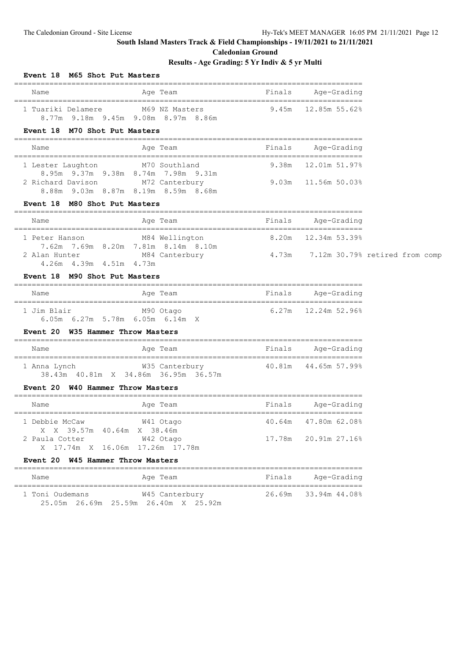**Caledonian Ground**

## **Results - Age Grading: 5 Yr Indiv & 5 yr Multi**

| Event 18 M65 Shot Put Masters                     |                                                                                              |        |                            |  |
|---------------------------------------------------|----------------------------------------------------------------------------------------------|--------|----------------------------|--|
| Name                                              | Age Team                                                                                     |        | Finals Age-Grading         |  |
|                                                   | 1 Tuariki Delamere M69 NZ Masters 9.45m 12.85m 55.62%<br>8.77m 9.18m 9.45m 9.08m 8.97m 8.86m |        |                            |  |
| Event 18 M70 Shot Put Masters                     |                                                                                              |        |                            |  |
| Name                                              | Age Team and Finals Age-Grading                                                              |        |                            |  |
| 1 Lester Laughton                                 | M70 Southland<br>8.95m 9.37m 9.38m 8.74m 7.98m 9.31m                                         |        | $9.38m$ $12.01m$ $51.97\%$ |  |
|                                                   | 2 Richard Davison M72 Canterbury 9.03m 11.56m 50.03%<br>8.88m 9.03m 8.87m 8.19m 8.59m 8.68m  |        |                            |  |
| Event 18 M80 Shot Put Masters                     |                                                                                              |        |                            |  |
| Name                                              | Age Team                                                                                     | Finals | Age-Grading                |  |
| 1 Peter Hanson                                    | M84 Wellington<br>7.62m 7.69m 8.20m 7.81m 8.14m 8.10m                                        |        | 8.20m 12.34m 53.39%        |  |
| 4.26m  4.39m  4.51m  4.73m                        | 2 Alan Hunter M84 Canterbury 1.73m 7.12m 30.79% retired from comp                            |        |                            |  |
| Event 18 M90 Shot Put Masters                     |                                                                                              |        |                            |  |
| Name                                              | Age Team                                                                                     |        | Finals Age-Grading         |  |
| 1 Jim Blair                                       | M90 Otago<br>6.05m 6.27m 5.78m 6.05m 6.14m $X$                                               |        | $6.27m$ $12.24m$ 52.96%    |  |
| Event 20 W35 Hammer Throw Masters                 |                                                                                              |        |                            |  |
| Name                                              | Age Team <b>Example 2</b> Finals Age-Grading                                                 |        |                            |  |
|                                                   | 38.43m 40.81m X 34.86m 36.95m 36.57m                                                         |        |                            |  |
| Event 20 W40 Hammer Throw Masters                 |                                                                                              |        |                            |  |
| Name                                              | Age Team                                                                                     |        | Finals Age-Grading         |  |
| 1 Debbie McCaw<br>X X 39.57m 40.64m X 38.46m      | W41 Otago                                                                                    |        | 40.64m 47.80m 62.08%       |  |
| 2 Paula Cotter<br>X 17.74m X 16.06m 17.26m 17.78m | W42 Otago                                                                                    |        | 17.78m 20.91m 27.16%       |  |
| Event 20 W45 Hammer Throw Masters                 |                                                                                              |        |                            |  |
| Name                                              | Age Team                                                                                     | Finals | Age-Grading                |  |
| 1 Toni Oudemans                                   | W45 Canterbury                                                                               | 26.69m | 33.94m 44.08%              |  |

25.05m 26.69m 25.59m 26.40m X 25.92m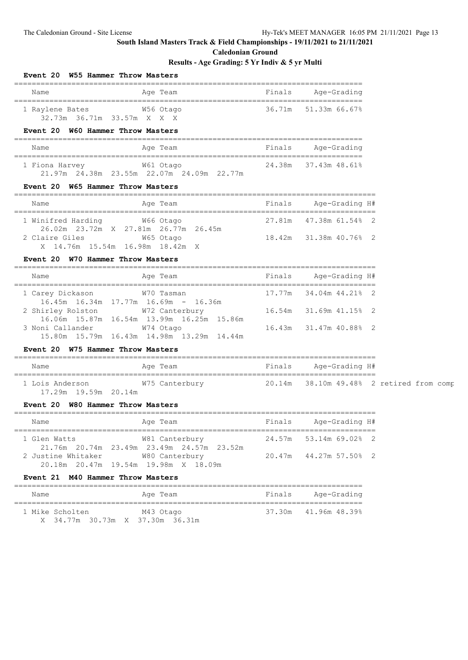**Event 20 W55 Hammer Throw Masters**

### **South Island Masters Track & Field Championships - 19/11/2021 to 21/11/2021**

**Caledonian Ground**

===============================================================================

### **Results - Age Grading: 5 Yr Indiv & 5 yr Multi**

| Name                                          | Age Team<br>_______________________________                                                                   | Finals | Age-Grading            |  |
|-----------------------------------------------|---------------------------------------------------------------------------------------------------------------|--------|------------------------|--|
| 1 Raylene Bates<br>32.73m 36.71m 33.57m X X X | W56 Otago                                                                                                     | 36.71m | 51.33m 66.67%          |  |
| Event 20 W60 Hammer Throw Masters             |                                                                                                               |        |                        |  |
| Name                                          | Age Team                                                                                                      |        | Finals Age-Grading     |  |
| 1 Fiona Harvey 61 Otago                       | 21.97m  24.38m  23.55m  22.07m  24.09m  22.77m                                                                |        | 24.38m 37.43m 48.61%   |  |
| Event 20 W65 Hammer Throw Masters             |                                                                                                               |        |                        |  |
| Name                                          | Age Team                                                                                                      |        | Finals Age-Grading H#  |  |
| 1 Winifred Harding 66 Otago                   |                                                                                                               |        | 27.81m 47.38m 61.54% 2 |  |
| X 14.76m 15.54m 16.98m 18.42m X               | 26.02m 23.72m X 27.81m 26.77m 26.45m                                                                          |        | 18.42m 31.38m 40.76% 2 |  |
| Event 20 W70 Hammer Throw Masters             |                                                                                                               |        |                        |  |
| Name                                          | Age Team                                                                                                      | Finals | Age-Grading H#         |  |
| 1 Carey Dickason                              | W70 Tasman                                                                                                    |        | 17.77m 34.04m 44.21% 2 |  |
| 2 Shirley Rolston                             | $16.45m$ $16.34m$ $17.77m$ $16.69m$ - $16.36m$<br>W72 Canterbury                                              |        | 16.54m 31.69m 41.15% 2 |  |
| 3 Noni Callander                              | 16.06m  15.87m  16.54m  13.99m  16.25m  15.86m<br>W74 Otago<br>15.80m  15.79m  16.43m  14.98m  13.29m  14.44m |        | 16.43m 31.47m 40.88% 2 |  |
| Event 20 W75 Hammer Throw Masters             |                                                                                                               |        |                        |  |
| Name                                          | Age Team                                                                                                      |        | Finals Age-Grading H#  |  |
| 1 Lois Anderson<br>17.29m 19.59m 20.14m       | W75 Canterbury                       20.14m   38.10m 49.48%   2 retired from comp                             |        |                        |  |
| Event 20 W80 Hammer Throw Masters             |                                                                                                               |        |                        |  |
| Name                                          | Age Team                                                                                                      |        | Finals Age-Grading H#  |  |
| 1 Glen Watts                                  | W81 Canterbury                           24.57m   53.14m 69.02%   2                                           |        |                        |  |
| 2 Justine Whitaker M80 Canterbury             | 21.76m  20.74m  23.49m  23.49m  24.57m  23.52m<br>20.18m  20.47m  19.54m  19.98m  X  18.09m                   |        | 20.47m 44.27m 57.50% 2 |  |
| Event 21 M40 Hammer Throw Masters             |                                                                                                               |        |                        |  |
|                                               |                                                                                                               |        |                        |  |

1 Mike Scholten M43 Otago 37.30m 41.96m 48.39% 1 Mike Scholten M43 Otago 37.30m 41.96m 48.39% X 34.77m 30.73m X 37.30m 36.31m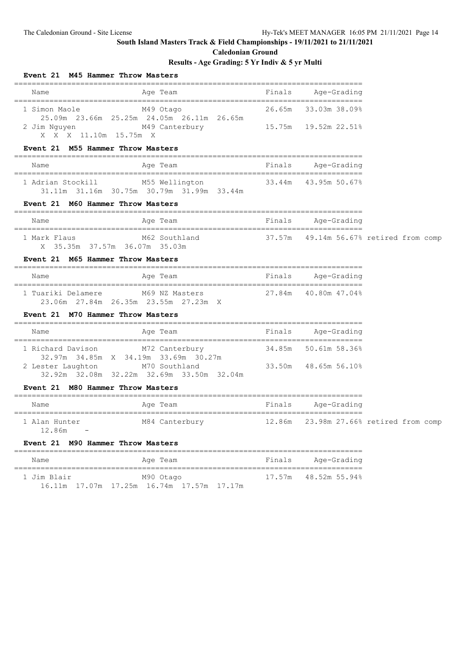## **Caledonian Ground**

### **Results - Age Grading: 5 Yr Indiv & 5 yr Multi**

| Event 21 M45 Hammer Throw Masters             |                                                                                                                 |        |                                           |  |
|-----------------------------------------------|-----------------------------------------------------------------------------------------------------------------|--------|-------------------------------------------|--|
| Name                                          | Age Team                                                                                                        | Finals | Age-Grading                               |  |
| 1 Simon Maole                                 | M49 Otago<br>25.09m  23.66m  25.25m  24.05m  26.11m  26.65m<br>2 Jim Nguyen M49 Canterbury 15.75m 19.52m 22.51% |        | 26.65m 33.03m 38.09%                      |  |
| X X X 11.10m 15.75m X                         |                                                                                                                 |        |                                           |  |
| Event 21 M55 Hammer Throw Masters             | ===============                                                                                                 |        |                                           |  |
| Name                                          | Age Team<br>---------------------                                                                               |        | Finals Age-Grading                        |  |
| 1 Adrian Stockill                             | M55 Wellington 33.44m 43.95m 50.67%<br>31.11m 31.16m 30.75m 30.79m 31.99m 33.44m                                |        |                                           |  |
| Event 21 M60 Hammer Throw Masters             |                                                                                                                 |        |                                           |  |
| Name                                          | Age Team                                                                                                        |        | Finals Age-Grading                        |  |
| 1 Mark Flaus<br>X 35.35m 37.57m 36.07m 35.03m | M62 Southland                                                                                                   |        | 37.57m  49.14m  56.67%  retired from comp |  |
| Event 21 M65 Hammer Throw Masters             | ---------------------------                                                                                     |        |                                           |  |
| Name                                          | Age Team                                                                                                        |        | Finals Age-Grading                        |  |
| 23.06m 27.84m 26.35m 23.55m 27.23m X          | 1 Tuariki Delamere M69 NZ Masters 27.84m 40.80m 47.04%                                                          |        |                                           |  |
| Event 21 M70 Hammer Throw Masters             |                                                                                                                 |        |                                           |  |
| Name                                          | Age Team                                                                                                        |        | Finals Age-Grading                        |  |
| 1 Richard Davison                             | M72 Canterbury<br>32.97m 34.85m X 34.19m 33.69m 30.27m                                                          |        | 34.85m 50.61m 58.36%                      |  |
| 2 Lester Laughton M70 Southland               | 32.92m 32.08m 32.22m 32.69m 33.50m 32.04m                                                                       |        | 33.50m 48.65m 56.10%                      |  |
| Event 21 M80 Hammer Throw Masters             |                                                                                                                 |        |                                           |  |

# ===============================================================================

| Name                      | Age Team       | Finals Age-Grading                     |  |
|---------------------------|----------------|----------------------------------------|--|
| 1 Alan Hunter<br>12.86m – | M84 Canterbury | 12.86m 23.98m 27.66% retired from comp |  |

#### **Event 21 M90 Hammer Throw Masters**

| Name        |  |  | Age Team                                  |  |  | Finals | Age-Grading          |  |
|-------------|--|--|-------------------------------------------|--|--|--------|----------------------|--|
| 1 Jim Blair |  |  | M90 Otago                                 |  |  |        | 17.57m 48.52m 55.94% |  |
|             |  |  | 16.11m 17.07m 17.25m 16.74m 17.57m 17.17m |  |  |        |                      |  |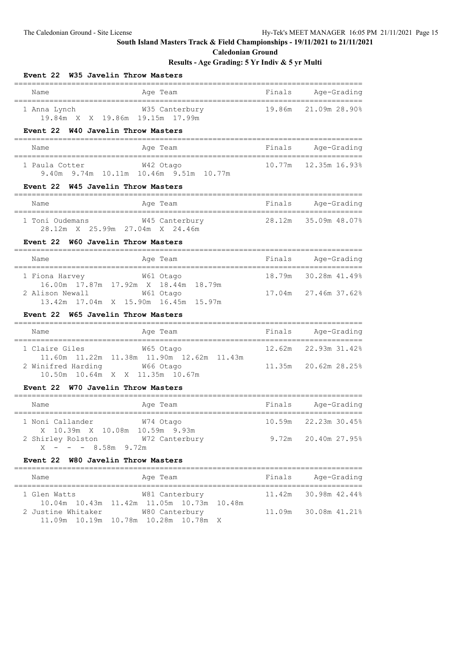**Event 22 W35 Javelin Throw Masters**

## **South Island Masters Track & Field Championships - 19/11/2021 to 21/11/2021**

**Caledonian Ground**

| Name                                                                                 | Age Team                                                    |        | Finals Age-Grading<br>=============== |
|--------------------------------------------------------------------------------------|-------------------------------------------------------------|--------|---------------------------------------|
| 1 Anna Lynch<br>19.84m X X 19.86m 19.15m 17.99m                                      | W35 Canterbury                                              | 19.86m | 21.09m 28.90%                         |
| Event 22 W40 Javelin Throw Masters                                                   |                                                             |        |                                       |
| Name                                                                                 | Age Team                                                    | Finals | Age-Grading                           |
| 1 Paula Cotter                                                                       | W42 Otago<br>9.40m 9.74m 10.11m 10.46m 9.51m 10.77m         |        | 10.77m   12.35m   16.93%              |
| Event 22 W45 Javelin Throw Masters                                                   |                                                             |        |                                       |
| Name                                                                                 | Age Team                                                    | Finals | Age-Grading                           |
| 1 Toni Oudemans M45 Canterbury<br>28.12m X 25.99m 27.04m X 24.46m                    |                                                             |        | 28.12m 35.09m 48.07%                  |
| Event 22 W60 Javelin Throw Masters                                                   |                                                             |        |                                       |
| Name                                                                                 | Age Team                                                    |        | Finals Age-Grading                    |
| 1 Fiona Harvey                                                                       | W61 Otago                                                   |        | 18.79m 30.28m 41.49%                  |
| 16.00m  17.87m  17.92m  X<br>2 Alison Newall<br>13.42m 17.04m X 15.90m 16.45m 15.97m | 18.44m 18.79m<br>W61 Otago                                  | 17.04m | 27.46m 37.62%                         |
| Event 22 W65 Javelin Throw Masters                                                   |                                                             |        |                                       |
| Name                                                                                 | Age Team                                                    | Finals | Age-Grading                           |
| 1 Claire Giles                                                                       | W65 Otago                                                   |        | 12.62m 22.93m 31.42%                  |
| 2 Winifred Harding<br>10.50m 10.64m X X 11.35m 10.67m                                | 11.60m  11.22m  11.38m  11.90m  12.62m  11.43m<br>W66 Otago |        | 11.35m 20.62m 28.25%                  |
| Event 22 W70 Javelin Throw Masters                                                   |                                                             |        |                                       |
| ====================================<br>Name                                         | Age Team                                                    |        | Finals Age-Grading                    |
| _______________________________<br>1 Noni Callander                                  | ;=====================<br>W74 Otago                         | 10.59m | ==============<br>22.23m 30.45%       |
| X 10.39m X 10.08m 10.59m 9.93m<br>2 Shirley Rolston<br>$X - - - 8.58m$ 9.72m         | W72 Canterbury                                              |        | 9.72m 20.40m 27.95%                   |
| Event 22 W80 Javelin Throw Masters                                                   |                                                             |        |                                       |
| Name                                                                                 | Age Team                                                    |        | Finals Age-Grading                    |
| 1 Glen Watts                                                                         | W81 Canterbury                                              |        | 11.42m 30.98m 42.44%                  |
| 2 Justine Whitaker W80 Canterbury<br>11.09m  10.19m  10.78m  10.28m  10.78m          | 10.04m  10.43m  11.42m  11.05m  10.73m  10.48m<br>Χ         |        | 11.09m 30.08m 41.21%                  |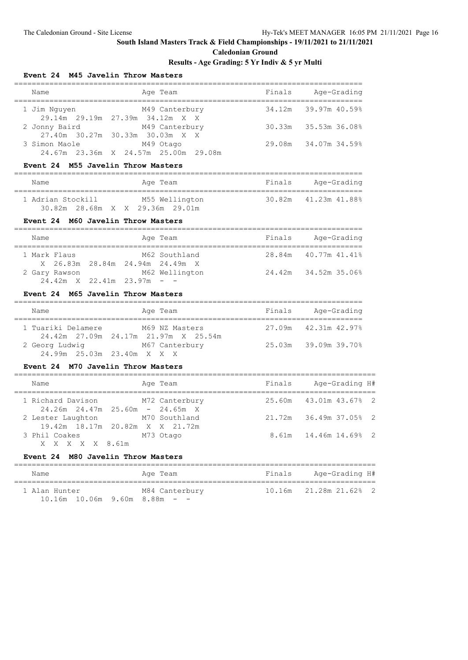## **Caledonian Ground**

### **Results - Age Grading: 5 Yr Indiv & 5 yr Multi**

#### **Event 24 M45 Javelin Throw Masters**

| Name          | Age Team                                          | Finals | Age-Grading          |
|---------------|---------------------------------------------------|--------|----------------------|
| 1 Jim Nguyen  | M49 Canterbury<br>29.14m 29.19m 27.39m 34.12m X X |        | 34.12m 39.97m 40.59% |
| 2 Jonny Baird | M49 Canterbury<br>27.40m 30.27m 30.33m 30.03m X X |        | 30.33m 35.53m 36.08% |
| 3 Simon Maole | M49 Otago                                         |        | 29.08m 34.07m 34.59% |
|               | 24.67m 23.36m X 24.57m 25.00m 29.08m              |        |                      |

#### **Event 24 M55 Javelin Throw Masters**

| Name              |  |                |  | Age Team                        |                      | Finals |  | Age-Grading |  |
|-------------------|--|----------------|--|---------------------------------|----------------------|--------|--|-------------|--|
| 1 Adrian Stockill |  | M55 Wellington |  |                                 | 30.82m 41.23m 41.88% |        |  |             |  |
|                   |  |                |  | 30.82m 28.68m X X 29.36m 29.01m |                      |        |  |             |  |

#### **Event 24 M60 Javelin Throw Masters**

| Name                                   |  | Age Team       | Finals | Age-Grading          |
|----------------------------------------|--|----------------|--------|----------------------|
|                                        |  |                |        |                      |
| 1 Mark Flaus                           |  | M62 Southland  |        | 28.84m 40.77m 41.41% |
| X 26.83m 28.84m 24.94m 24.49m X        |  |                |        |                      |
| 2 Gary Rawson                          |  | M62 Wellington |        | 24.42m 34.52m 35.06% |
| $24.42m \times 22.41m \times 23.97m -$ |  |                |        |                      |

## **Event 24 M65 Javelin Throw Masters**

| Name               | Age Team                                               | Finals | Age-Grading          |  |  |  |  |  |  |
|--------------------|--------------------------------------------------------|--------|----------------------|--|--|--|--|--|--|
| 1 Tuariki Delamere | M69 NZ Masters<br>24.42m 27.09m 24.17m 21.97m X 25.54m |        | 27.09m 42.31m 42.97% |  |  |  |  |  |  |
| 2 Georg Ludwig     | M67 Canterbury<br>24.99m 25.03m 23.40m X X X           |        | 25.03m 39.09m 39.70% |  |  |  |  |  |  |

#### **Event 24 M70 Javelin Throw Masters**

| Name                                    | Age Team  | Finals | Age-Grading H#         |  |
|-----------------------------------------|-----------|--------|------------------------|--|
| 1 Richard Davison M72 Canterbury        |           |        | 25.60m 43.01m 43.67% 2 |  |
| $24.26m$ $24.47m$ $25.60m$ - $24.65m$ X |           |        |                        |  |
| 2 Lester Laughton M70 Southland         |           |        | 21.72m 36.49m 37.05% 2 |  |
| 19.42m 18.17m 20.82m X X 21.72m         |           |        |                        |  |
| 3 Phil Coakes                           | M73 Otago |        | 8.61m 14.46m 14.69% 2  |  |
| X X X X X 8.61m                         |           |        |                        |  |

### **Event 24 M80 Javelin Throw Masters**

| Name                                   | Age Team       | Finals | Age-Grading H#               |
|----------------------------------------|----------------|--------|------------------------------|
| 1 Alan Hunter                          | M84 Canterbury |        | $10.16m$ $21.28m$ $21.628$ 2 |
| $10.16m$ $10.06m$ $9.60m$ $8.88m$ $ -$ |                |        |                              |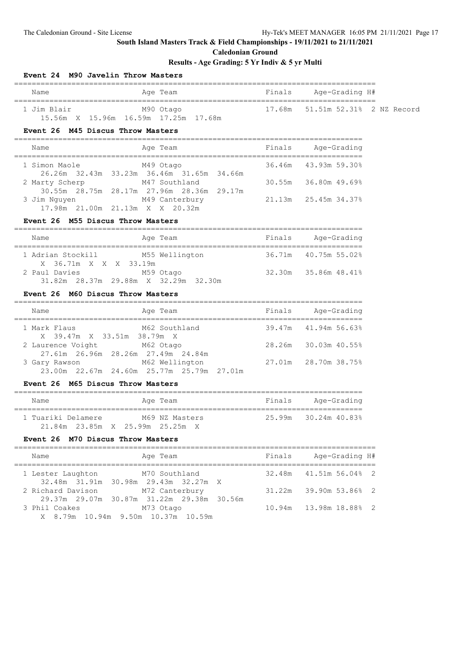**Event 24 M90 Javelin Throw Masters**

## **South Island Masters Track & Field Championships - 19/11/2021 to 21/11/2021**

**Caledonian Ground**

| <b>Example 18</b> Finals<br>Age Team<br>Name                                                                       |        | Age-Grading H#            |  |
|--------------------------------------------------------------------------------------------------------------------|--------|---------------------------|--|
| M90 Otago<br>17.68m<br>1 Jim Blair<br>15.56m X 15.96m 16.59m 17.25m 17.68m<br>Event 26 M45 Discus Throw Masters    |        | 51.51m 52.31% 2 NZ Record |  |
| Age Team<br>Name                                                                                                   | Finals | Age-Grading               |  |
| M49 Otago<br>1 Simon Maole                                                                                         |        | 36.46m 43.93m 59.30%      |  |
| 2 Marty Scherp M47 Southland<br>30.55m 28.75m 28.17m 27.96m 28.36m 29.17m                                          |        | 30.55m 36.80m 49.69%      |  |
| M49 Canterbury<br>3 Jim Nguyen<br>17.98m 21.00m 21.13m X X 20.32m                                                  |        |                           |  |
| Event 26 M55 Discus Throw Masters                                                                                  |        |                           |  |
| Age Team<br>Name                                                                                                   | Finals | Age-Grading               |  |
| 1 Adrian Stockill – Andre<br>M55 Wellington                                                                        |        | 36.71m 40.75m 55.02%      |  |
| X 36.71m X X X 33.19m<br>M59 Otago<br>2 Paul Davies<br>31.82m 28.37m 29.88m X 32.29m 32.30m                        |        | 32.30m 35.86m 48.41%      |  |
| Event 26 M60 Discus Throw Masters                                                                                  |        |                           |  |
| Age Team and Series and Serials Age-Grading<br>Name                                                                |        |                           |  |
| M62 Southland 39.47m<br>1 Mark Flaus                                                                               |        | 41.94m 56.63%             |  |
| X 39.47m X 33.51m 38.79m X<br>2 Laurence Voight M62 Otago<br>27.61m  26.96m  28.26m  27.49m  24.84m                | 28.26m | 30.03m 40.55%             |  |
| 3 Gary Rawson M62 Wellington 27.01m 28.70m 38.75%<br>23.00m  22.67m  24.60m  25.77m  25.79m  27.01m                |        |                           |  |
| Event 26 M65 Discus Throw Masters                                                                                  |        |                           |  |
| Age Team<br>Name                                                                                                   |        | Finals Age-Grading        |  |
| 1 Tuariki Delamere M69 NZ Masters<br>21.84m 23.85m X 25.99m 25.25m X                                               |        | 25.99m 30.24m 40.83%      |  |
| Event 26 M70 Discus Throw Masters                                                                                  |        |                           |  |
| Name<br>Age Team                                                                                                   | Finals | Age-Grading H#            |  |
| =================================<br>M70 Southland<br>1 Lester Laughton<br>32.48m 31.91m<br>30.98m 29.43m 32.27m X | 32.48m | 41.51m 56.04% 2           |  |
| 2 Richard Davison<br>M72 Canterbury                                                                                | 31.22m | 39.90m 53.86% 2           |  |
| 29.37m 29.07m 30.87m 31.22m 29.38m 30.56m<br>M73 Otago<br>3 Phil Coakes<br>X 8.79m 10.94m 9.50m 10.37m 10.59m      | 10.94m | 13.98m 18.88% 2           |  |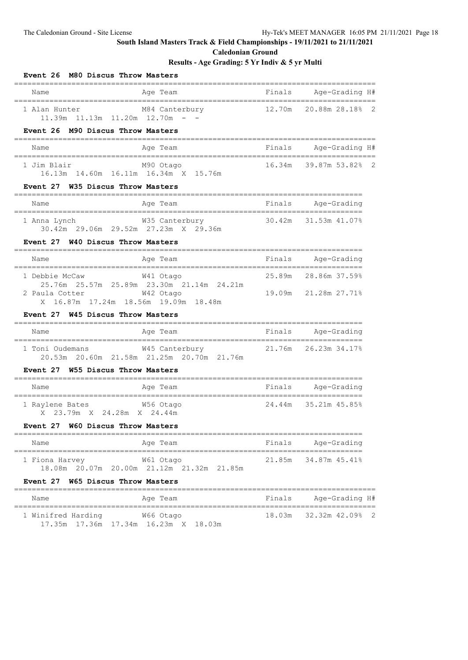**Caledonian Ground**

### **Results - Age Grading: 5 Yr Indiv & 5 yr Multi**

| Event 26 M80 Discus Throw Masters                                                           |                                                             |        |                        |  |
|---------------------------------------------------------------------------------------------|-------------------------------------------------------------|--------|------------------------|--|
| Name                                                                                        | Age Team                                                    | Finals | Age-Grading H#         |  |
| 1 Alan Hunter M84 Canterbury<br>11.39m 11.13m 11.20m 12.70m - -                             |                                                             |        | 12.70m 20.88m 28.18% 2 |  |
| Event 26 M90 Discus Throw Masters                                                           |                                                             |        |                        |  |
| Name                                                                                        | Age Team                                                    |        | Finals Age-Grading H#  |  |
| M90 Otago<br>1 Jim Blair<br>16.13m  14.60m  16.11m  16.34m  X  15.76m                       |                                                             |        | 16.34m 39.87m 53.82% 2 |  |
| Event 27 W35 Discus Throw Masters                                                           |                                                             |        |                        |  |
| Name                                                                                        | Age Team                                                    |        | Finals Age-Grading     |  |
| 1 Anna Lynch                                                                                | W35 Canterbury<br>30.42m 29.06m 29.52m 27.23m X 29.36m      |        | 30.42m 31.53m 41.07%   |  |
| Event 27 W40 Discus Throw Masters                                                           |                                                             |        |                        |  |
| Name                                                                                        | Age Team                                                    |        | Finals Age-Grading     |  |
| 1 Debbie McCaw                                                                              | W41 Otago<br>25.76m  25.57m  25.89m  23.30m  21.14m  24.21m |        | 25.89m 28.86m 37.59%   |  |
| 2 Paula Cotter<br>X 16.87m 17.24m 18.56m 19.09m 18.48m<br>Event 27 W45 Discus Throw Masters | W42 Otago                                                   |        | 19.09m 21.28m 27.71%   |  |
| Name                                                                                        | Age Team                                                    |        | Finals Age-Grading     |  |
| 1 Toni Oudemans M45 Canterbury<br>Event 27 W55 Discus Throw Masters                         | 20.53m  20.60m  21.58m  21.25m  20.70m  21.76m              |        |                        |  |
| Name                                                                                        | Aqe Team                                                    |        | Finals Age-Grading     |  |
| 1 Raylene Bates 6756 Otago<br>X 23.79m X 24.28m X 24.44m                                    |                                                             |        | 24.44m 35.21m 45.85%   |  |
| Event 27 W60 Discus Throw Masters                                                           |                                                             |        |                        |  |
| Name                                                                                        | Age Team                                                    | Finals | Age-Grading            |  |
| 1 Fiona Harvey                                                                              | W61 Otago<br>18.08m  20.07m  20.00m  21.12m  21.32m  21.85m | 21.85m | 34.87m 45.41%          |  |
| Event 27 W65 Discus Throw Masters                                                           |                                                             |        |                        |  |
| Name                                                                                        | Age Team                                                    | Finals | Age-Grading H#         |  |
|                                                                                             |                                                             |        |                        |  |

 1 Winifred Harding W66 Otago 18.03m 32.32m 42.09% 2 17.35m 17.36m 17.34m 16.23m X 18.03m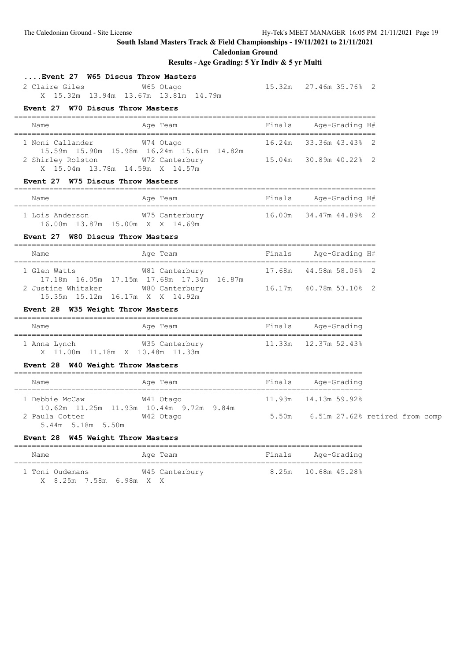**Caledonian Ground**

| Event 27 W65 Discus Throw Masters<br>2 Claire Giles                    | W65 Otago<br>X 15.32m 13.94m 13.67m 13.81m 14.79m                                       |        | 15.32m 27.46m 35.76% 2               |  |  |
|------------------------------------------------------------------------|-----------------------------------------------------------------------------------------|--------|--------------------------------------|--|--|
| Event 27 W70 Discus Throw Masters                                      |                                                                                         |        |                                      |  |  |
| Name                                                                   | Age Team                                                                                |        | Finals Age-Grading H#                |  |  |
| 1 Noni Callander                                                       | W74 Otago<br>15.59m 15.90m 15.98m 16.24m 15.61m 14.82m                                  |        | 16.24m 33.36m 43.43% 2               |  |  |
| 2 Shirley Rolston W72 Canterbury<br>X 15.04m 13.78m 14.59m X 14.57m    |                                                                                         |        | 15.04m 30.89m 40.22% 2               |  |  |
| Event 27 W75 Discus Throw Masters                                      |                                                                                         |        |                                      |  |  |
| Name                                                                   | Age Team                                                                                |        | Finals Age-Grading H#                |  |  |
| 1 Lois Anderson W75 Canterbury<br>16.00m  13.87m  15.00m  X  X  14.69m |                                                                                         |        | 16.00m 34.47m 44.89% 2               |  |  |
| Event 27 W80 Discus Throw Masters                                      |                                                                                         |        |                                      |  |  |
| Name                                                                   | Age Team  Sandara Binals Age-Grading H#                                                 |        |                                      |  |  |
| 1 Glen Watts                                                           | W81 Canterbury 17.68m 44.58m 58.06% 2<br>17.18m  16.05m  17.15m  17.68m  17.34m  16.87m |        |                                      |  |  |
| 2 Justine Whitaker M80 Canterbury<br>15.35m 15.12m 16.17m X X 14.92m   |                                                                                         |        | 16.17m  40.78m  53.10%  2            |  |  |
| Event 28 W35 Weight Throw Masters                                      |                                                                                         |        |                                      |  |  |
| Name                                                                   | Age Team                                                                                |        | Finals Age-Grading                   |  |  |
| X 11.00m 11.18m X 10.48m 11.33m                                        |                                                                                         |        |                                      |  |  |
| Event 28 W40 Weight Throw Masters                                      |                                                                                         |        |                                      |  |  |
| Name                                                                   | Age Team                                                                                |        | Finals Age-Grading                   |  |  |
| 1 Debbie McCaw                                                         | W41 Otago<br>10.62m 11.25m 11.93m 10.44m 9.72m 9.84m                                    |        |                                      |  |  |
| 2 Paula Cotter<br>5.44m 5.18m 5.50m                                    | W42 Otago                                                                               |        | 5.50m 6.51m 27.62% retired from comp |  |  |
| Event 28 W45 Weight Throw Masters                                      |                                                                                         |        |                                      |  |  |
| Name<br>========================                                       | Age Team<br>------                                                                      | Finals | Age-Grading                          |  |  |
| 1 Toni Oudemans<br>X 8.25m 7.58m                                       | W45 Canterbury<br>6.98m X X                                                             | 8.25m  | 10.68m 45.28%                        |  |  |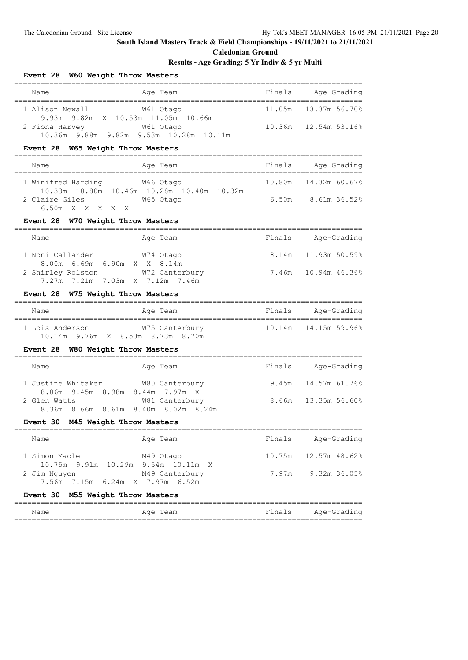#### **Caledonian Ground**

### **Results - Age Grading: 5 Yr Indiv & 5 yr Multi**

| Name                                                                 | Age Team                                              |        | Finals Age-Grading     |
|----------------------------------------------------------------------|-------------------------------------------------------|--------|------------------------|
| 1 Alison Newall M61 Otago                                            | 9.93m 9.82m X 10.53m 11.05m 10.66m                    |        | 11.05m  13.37m  56.70% |
| 2 Fiona Harvey M61 Otago                                             | 10.36m 9.88m 9.82m 9.53m 10.28m 10.11m                |        | 10.36m 12.54m 53.16%   |
| Event 28 W65 Weight Throw Masters                                    |                                                       |        |                        |
| Name                                                                 | Age Team                                              |        | Finals Age-Grading     |
| 1 Winifred Harding 66 Otago                                          | 10.33m  10.80m  10.46m  10.28m  10.40m  10.32m        |        | 10.80m  14.32m  60.67% |
| 2 Claire Giles M65 Otago<br>6.50m X X X X X                          |                                                       |        | 6.50m 8.61m 36.52%     |
| Event 28 W70 Weight Throw Masters                                    |                                                       |        |                        |
| Name                                                                 | Age Team                                              |        | Finals Age-Grading     |
| 1 Noni Callander M74 Otago<br>8.00m 6.69m 6.90m X X 8.14m            |                                                       |        |                        |
| 2 Shirley Rolston W72 Canterbury<br>7.27m 7.21m 7.03m X 7.12m 7.46m  |                                                       |        | 7.46m 10.94m 46.36%    |
| Event 28 W75 Weight Throw Masters                                    |                                                       |        |                        |
| Name                                                                 | Age Team                                              |        | Finals Age-Grading     |
| 1 Lois Anderson M75 Canterbury<br>10.14m 9.76m X 8.53m 8.73m 8.70m   |                                                       |        | 10.14m  14.15m  59.96% |
| Event 28 W80 Weight Throw Masters                                    |                                                       |        |                        |
| Name                                                                 | Age Team                                              |        | Finals Age-Grading     |
| 1 Justine Whitaker W80 Canterbury<br>8.06m 9.45m 8.98m 8.44m 7.97m X |                                                       |        | 9.45m 14.57m 61.76%    |
| 2 Glen Watts                                                         | W81 Canterbury<br>8.36m 8.66m 8.61m 8.40m 8.02m 8.24m |        | 8.66m 13.35m 56.60%    |
| Event 30 M45 Weight Throw Masters                                    |                                                       |        |                        |
| Name                                                                 | Age Team                                              | Finals | Age-Grading            |
| 1 Simon Maole<br>10.75m 9.91m 10.29m 9.54m 10.11m                    | M49 Otago<br>X                                        | 10.75m | 12.57m 48.62%          |
| 2 Jim Nguyen<br>7.56m 7.15m 6.24m X 7.97m 6.52m                      | M49 Canterbury                                        | 7.97m  | 9.32m 36.05%           |
| Event 30 M55 Weight Throw Masters                                    |                                                       |        |                        |
| Name                                                                 | ___________________________<br>Age Team               | Finals | Age-Grading            |

===============================================================================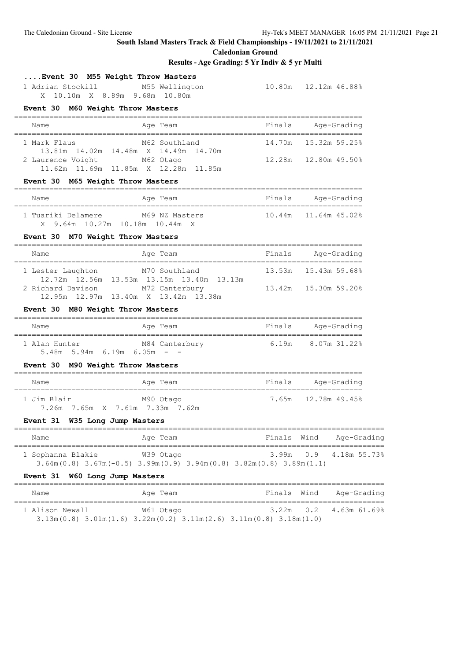**....Event 30 M55 Weight Throw Masters**

## **South Island Masters Track & Field Championships - 19/11/2021 to 21/11/2021**

**Caledonian Ground**

| 1 Adrian Stockill M55 Wellington  | X 10.10m X 8.89m 9.68m 10.80m                                                                                                        |                        |             | 10.80m 12.12m 46.88%     |
|-----------------------------------|--------------------------------------------------------------------------------------------------------------------------------------|------------------------|-------------|--------------------------|
| Event 30 M60 Weight Throw Masters |                                                                                                                                      |                        |             |                          |
| Name                              | Age Team                                                                                                                             |                        |             | Finals Age-Grading       |
| 1 Mark Flaus                      | M62 Southland<br>13.81m  14.02m  14.48m  X  14.49m  14.70m                                                                           |                        |             | 14.70m   15.32m   59.25% |
| 2 Laurence Voight M62 Otago       | 11.62m 11.69m 11.85m X 12.28m 11.85m                                                                                                 |                        |             | 12.28m  12.80m  49.50%   |
| Event 30 M65 Weight Throw Masters |                                                                                                                                      |                        |             |                          |
| Name                              | Age Team                                                                                                                             | Finals Age-Grading     |             |                          |
|                                   | 1 Tuariki Delamere M69 NZ Masters 10.44m 11.64m 45.02%<br>X 9.64m 10.27m 10.18m 10.44m X                                             |                        |             |                          |
| Event 30 M70 Weight Throw Masters |                                                                                                                                      |                        |             |                          |
| Name                              | Age Team                                                                                                                             | Finals Age-Grading     |             |                          |
| 1 Lester Laughton M70 Southland   | 12.72m  12.56m  13.53m  13.15m  13.40m  13.13m                                                                                       |                        |             | 13.53m  15.43m  59.68%   |
|                                   | 2 Richard Davison M72 Canterbury<br>12.95m  12.97m  13.40m  X  13.42m  13.38m                                                        | 13.42m  15.30m  59.20% |             |                          |
| Event 30 M80 Weight Throw Masters |                                                                                                                                      |                        |             |                          |
| Name                              | Age Team                                                                                                                             | Finals Age-Grading     |             |                          |
| $5.48m$ 5.94m 6.19m 6.05m - -     | 1 Alan Hunter M84 Canterbury 6.19m 8.07m 31.22%                                                                                      |                        |             |                          |
| Event 30 M90 Weight Throw Masters |                                                                                                                                      |                        |             |                          |
| Name                              | Age Team                                                                                                                             | Finals Age-Grading     |             |                          |
| 1 Jim Blair                       | M90 Otago<br>7.26m 7.65m X 7.61m 7.33m 7.62m                                                                                         | 7.65m 12.78m 49.45%    |             |                          |
| Event 31 W35 Long Jump Masters    |                                                                                                                                      |                        |             |                          |
| Name                              | Age Team                                                                                                                             |                        | Finals Wind | Age-Grading<br>$=$ $=$   |
| 1 Sophanna Blakie                 | W39 Otago<br>$3.64$ m $(0.8)$ $3.67$ m $(-0.5)$ $3.99$ m $(0.9)$ $3.94$ m $(0.8)$ $3.82$ m $(0.8)$ $3.89$ m $(1.1)$                  | 3.99m                  | 0.9         | 4.18m 55.73%             |
| Event 31 W60 Long Jump Masters    | -------------------------                                                                                                            |                        |             | ================         |
| Name                              | Age Team                                                                                                                             | Finals Wind            |             | Age-Grading              |
| 1 Alison Newall                   | W61 Otago<br>$3.13\text{m}(0.8)$ $3.01\text{m}(1.6)$ $3.22\text{m}(0.2)$ $3.11\text{m}(2.6)$ $3.11\text{m}(0.8)$ $3.18\text{m}(1.0)$ | 3.22m                  | 0.2         | 4.63m 61.69%             |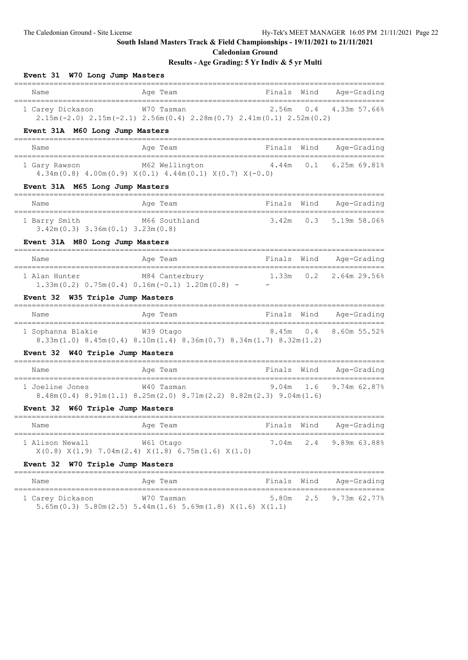**Caledonian Ground**

## **Results - Age Grading: 5 Yr Indiv & 5 yr Multi**

| Event 31 W70 Long Jump Masters                          |                                                                                                                           |                  |             |                                 |
|---------------------------------------------------------|---------------------------------------------------------------------------------------------------------------------------|------------------|-------------|---------------------------------|
| Name                                                    | Age Team                                                                                                                  | Finals           | Wind        | Age-Grading                     |
| 1 Carey Dickason W70 Tasman                             | $2.15m(-2.0)$ $2.15m(-2.1)$ $2.56m(0.4)$ $2.28m(0.7)$ $2.41m(0.1)$ $2.52m(0.2)$                                           |                  |             | 2.56m  0.4  4.33m  57.66%       |
| Event 31A M60 Long Jump Masters                         |                                                                                                                           |                  |             |                                 |
| Name                                                    | Age Team                                                                                                                  | Finals           |             | Wind Age-Grading                |
|                                                         | 1 Gary Rawson M62 Wellington 4.44m 0.1 6.25m 69.81%<br>$4.34m(0.8)$ $4.00m(0.9)$ $X(0.1)$ $4.44m(0.1)$ $X(0.7)$ $X(-0.0)$ |                  |             |                                 |
| Event 31A M65 Long Jump Masters                         |                                                                                                                           |                  |             |                                 |
| Name                                                    | Age Team                                                                                                                  |                  |             | Finals Wind Age-Grading         |
| 1 Barry Smith<br>$3.42m(0.3)$ $3.36m(0.1)$ $3.23m(0.8)$ | M66 Southland                                                                                                             |                  | $3.42m$ 0.3 | 5.19m 58.06%                    |
| Event 31A M80 Long Jump Masters                         |                                                                                                                           |                  |             |                                 |
| Name                                                    | Age Team                                                                                                                  |                  |             | Finals Wind Age-Grading         |
| 1 Alan Hunter                                           | M84 Canterbury<br>$1.33m(0.2)$ 0.75 $m(0.4)$ 0.16 $m(-0.1)$ 1.20 $m(0.8)$ - -                                             |                  |             | 1.33m  0.2  2.64m  29.56%       |
| Event 32 W35 Triple Jump Masters                        |                                                                                                                           |                  |             |                                 |
| Name                                                    | Age Team                                                                                                                  |                  |             | Finals Wind Age-Grading         |
| 1 Sophanna Blakie                                       | W39 Otago<br>$8.33m(1.0)$ $8.45m(0.4)$ $8.10m(1.4)$ $8.36m(0.7)$ $8.34m(1.7)$ $8.32m(1.2)$                                | 8.45m            | 0.4         | 8.60m 55.52%                    |
| Event 32 W40 Triple Jump Masters                        |                                                                                                                           |                  |             |                                 |
| Name                                                    | Age Team                                                                                                                  |                  |             | Finals Wind Age-Grading         |
| 1 Joeline Jones                                         | W40 Tasman<br>$8.48$ m $(0.4)$ $8.91$ m $(1.1)$ $8.25$ m $(2.0)$ $8.71$ m $(2.2)$ $8.82$ m $(2.3)$ $9.04$ m $(1.6)$       |                  |             | 9.04m 1.6 9.74m 62.87%          |
| Event 32 W60 Triple Jump Masters                        |                                                                                                                           |                  |             |                                 |
| Name                                                    | Age Team                                                                                                                  |                  |             | Finals Wind Age-Grading         |
| 1 Alison Newall                                         | W61 Otago<br>$X(0.8)$ $X(1.9)$ 7.04m(2.4) $X(1.8)$ 6.75m(1.6) $X(1.0)$                                                    | 7.04m            | 2.4         | ===<br>:=======<br>9.89m 63.88% |
| Event 32 W70 Triple Jump Masters                        |                                                                                                                           |                  |             |                                 |
| Name                                                    | Age Team                                                                                                                  | Finals<br>====== | Wind        | Age-Grading                     |
| 1 Carey Dickason                                        | W70 Tasman                                                                                                                | 5.80m            | 2.5         | 9.73m 62.77%                    |

5.65m(0.3) 5.80m(2.5) 5.44m(1.6) 5.69m(1.8) X(1.6) X(1.1)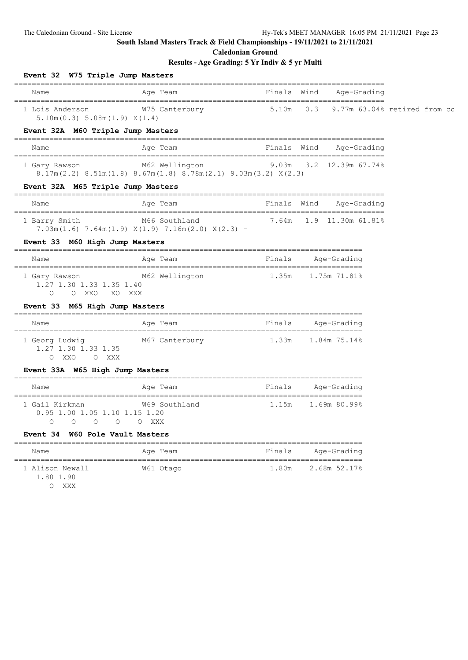**Caledonian Ground**

| Event 32 W75 Triple Jump Masters                              |                                                                                                                         |                    |                                       |  |
|---------------------------------------------------------------|-------------------------------------------------------------------------------------------------------------------------|--------------------|---------------------------------------|--|
| Name                                                          | Age Team<br>-------------------------------                                                                             | Finals Wind        | Age-Grading<br>;============          |  |
| 5.10m(0.3) 5.08m(1.9) X(1.4)                                  | 1 Lois Anderson M75 Canterbury 5.10m                                                                                    |                    | $0.3$ 9.77m $63.04\%$ retired from cc |  |
| Event 32A M60 Triple Jump Masters                             |                                                                                                                         |                    |                                       |  |
| Name                                                          | Age Team                                                                                                                |                    | Finals Wind Age-Grading               |  |
|                                                               | 1 Gary Rawson M62 Wellington 9.03m 3.2 12.39m 67.74%<br>8.17m(2.2) 8.51m(1.8) 8.67m(1.8) 8.78m(2.1) 9.03m(3.2) $X(2.3)$ |                    |                                       |  |
| Event 32A M65 Triple Jump Masters                             | ===========                                                                                                             |                    |                                       |  |
| Name                                                          | Age Team                                                                                                                | Finals Wind        | Age-Grading                           |  |
| 1 Barry Smith                                                 | M66 Southland<br>$7.03m(1.6)$ $7.64m(1.9)$ $X(1.9)$ $7.16m(2.0)$ $X(2.3)$ -                                             |                    |                                       |  |
| Event 33 M60 High Jump Masters                                |                                                                                                                         |                    |                                       |  |
| Name                                                          | Age Team                                                                                                                | Finals Age-Grading |                                       |  |
| 1.27 1.30 1.33 1.35 1.40<br>O XXO<br>XO XXX<br>$\circ$        | 1 Gary Rawson M62 Wellington 1.35m 1.75m 71.81%                                                                         |                    |                                       |  |
| Event 33 M65 High Jump Masters                                |                                                                                                                         |                    |                                       |  |
| Name                                                          | Age Team                                                                                                                | Finals             | Age-Grading                           |  |
| 1 Georg Ludwig<br>1.27 1.30 1.33 1.35<br>O XXO O XXX          | M67 Canterbury 1.33m 1.84m 75.14%                                                                                       |                    |                                       |  |
| Event 33A W65 High Jump Masters                               |                                                                                                                         |                    |                                       |  |
| Name                                                          | Age Team                                                                                                                |                    | Finals Age-Grading                    |  |
| 1 Gail Kirkman<br>0.95 1.00 1.05 1.10 1.15 1.20<br>OOOOOOOXXX | W69 Southland                                                                                                           |                    |                                       |  |
| Event 34 W60 Pole Vault Masters                               |                                                                                                                         |                    |                                       |  |
| Name                                                          | Age Team                                                                                                                | Finals             | Age-Grading                           |  |
| 1 Alison Newall<br>1.80 1.90<br>O XXX                         | W61 Otago                                                                                                               | 1.80m              | 2.68m 52.17%                          |  |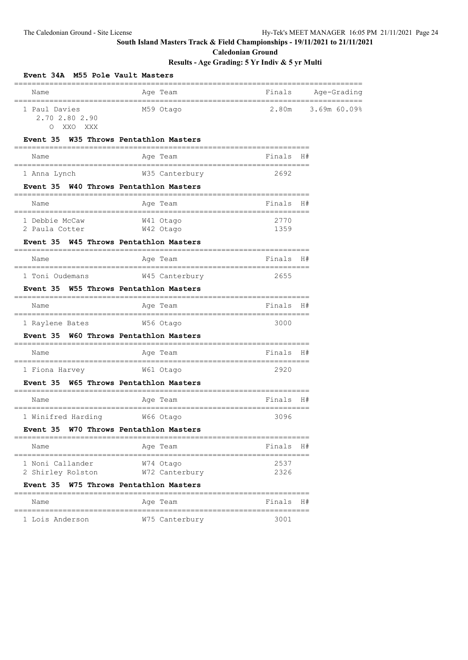**Caledonian Ground**

| Name                                                      | Age Team                                                               | Finals                                   | Age-Grading |
|-----------------------------------------------------------|------------------------------------------------------------------------|------------------------------------------|-------------|
| 1 Paul Davies<br>2.70 2.80 2.90<br>XXO<br>XXX<br>$\Omega$ | M59 Otago                                                              | 2.80m                                    | 3.69m60.09% |
| <b>Event 35</b>                                           | W35 Throws Pentathlon Masters                                          |                                          |             |
| Name                                                      | Age Team                                                               | Finals<br>,,,,,,,,,,,,,,,,,,,,,          | H#          |
| 1 Anna Lynch                                              | W35 Canterbury                                                         | 2692                                     |             |
| Event 35                                                  | W40 Throws Pentathlon Masters                                          |                                          |             |
| Name                                                      | Age Team                                                               | Finals                                   | H#          |
| 1 Debbie McCaw                                            | --------<br>W41 Otago                                                  | ==========================<br>2770       |             |
| 2 Paula Cotter                                            | W42 Otago                                                              | 1359                                     |             |
| <b>Event 35</b><br>--------------------------------       | W45 Throws Pentathlon Masters                                          |                                          |             |
| Name                                                      | Age Team                                                               | Finals<br>=========================      | H#          |
| 1 Toni Oudemans                                           | W45 Canterbury                                                         | 2655                                     |             |
| Event 35                                                  | W55 Throws Pentathlon Masters<br>=========                             |                                          |             |
| Name<br>==================                                | Age Team                                                               | Finals<br>============================== | H#          |
| 1 Raylene Bates                                           | W56 Otago                                                              | 3000                                     |             |
| <b>Event 35</b>                                           | W60 Throws Pentathlon Masters<br>_____________________________________ |                                          |             |
| Name                                                      | Age Team                                                               | Finals H#                                |             |
| 1 Fiona Harvey                                            | W61 Otago                                                              | -------------------------<br>2920        |             |
| <b>Event 35</b>                                           | W65 Throws Pentathlon Masters                                          |                                          |             |
| Name                                                      | ==========<br>Age Team                                                 | Finals                                   | H#          |
| -----------------------------<br>1 Winifred Harding       | __________________________<br>W66 Otago                                | 3096                                     |             |
| Event 35                                                  | W70 Throws Pentathlon Masters<br>---------------------                 |                                          |             |
| Name                                                      | Aqe Team                                                               | Finals                                   | H#          |
| ========<br>1 Noni Callander                              | W74 Otago                                                              | 2537                                     |             |
| 2 Shirley Rolston                                         | W72 Canterbury                                                         | 2326                                     |             |
| Event 35                                                  | W75 Throws Pentathlon Masters<br>=============                         |                                          |             |
| Name<br>==============                                    | Age Team                                                               | Finals<br>------------------             | H#          |
| 1 Lois Anderson                                           | W75 Canterbury                                                         | 3001                                     |             |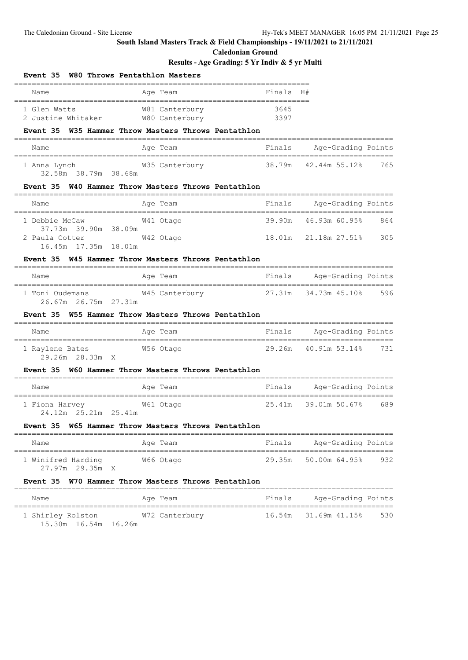**Caledonian Ground**

### **Results - Age Grading: 5 Yr Indiv & 5 yr Multi**

| Event 35 W80 Throws Pentathlon Masters             |                                                          |        |                             |     |
|----------------------------------------------------|----------------------------------------------------------|--------|-----------------------------|-----|
| Name                                               | Age Team                                                 | Finals | H#                          |     |
| 1 Glen Watts                                       | W81 Canterbury                                           | 3645   |                             |     |
|                                                    | Event 35 W35 Hammer Throw Masters Throws Pentathlon      |        |                             |     |
| Name                                               | Age Team                                                 | Finals | Age-Grading Points          |     |
| 32.58m 38.79m 38.68m                               |                                                          |        |                             |     |
|                                                    | Event 35 W40 Hammer Throw Masters Throws Pentathlon      |        |                             |     |
| Name                                               | Age Team                                                 |        | Finals Age-Grading Points   |     |
| 1 Debbie McCaw<br>37.73m 39.90m 38.09m             | W41 Otago                                                |        | 39.90m  46.93m  60.95%  864 |     |
| 2 Paula Cotter<br>16.45m 17.35m 18.01m             | W42 Otago                                                |        | 18.01m  21.18m  27.51%  305 |     |
|                                                    | Event 35 W45 Hammer Throw Masters Throws Pentathlon      |        |                             |     |
| Name                                               | Age Team                                                 |        | Finals Age-Grading Points   |     |
| 26.67m 26.75m 27.31m                               | 1 Toni Oudemans M45 Canterbury 127.31m 34.73m 45.10% 596 |        |                             |     |
|                                                    | Event 35 W55 Hammer Throw Masters Throws Pentathlon      |        |                             |     |
| Name                                               | Age Team                                                 |        | Finals Age-Grading Points   |     |
| 1 Raylene Bates 6756 Otago<br>29.26m 28.33m X      |                                                          |        | 29.26m 40.91m 53.14% 731    |     |
|                                                    | Event 35 W60 Hammer Throw Masters Throws Pentathlon      |        |                             |     |
| Name                                               | Age Team                                                 |        | Finals Age-Grading Points   |     |
| 1 Fiona Harvey M61 Otago<br>24.12m  25.21m  25.41m |                                                          |        | 25.41m 39.01m 50.67% 689    |     |
|                                                    | Event 35 W65 Hammer Throw Masters Throws Pentathlon      |        |                             |     |
| Name                                               | Age Team                                                 | Finals | Age-Grading Points          |     |
| 1 Winifred Harding<br>27.97m 29.35m X              | W66 Otago                                                | 29.35m | 50.00m 64.95%               | 932 |
| Event 35                                           | W70 Hammer Throw Masters Throws Pentathlon               |        |                             |     |
| Name                                               | Aqe Team                                                 | Finals | Age-Grading Points          |     |
|                                                    |                                                          |        |                             |     |

 1 Shirley Rolston W72 Canterbury 16.54m 31.69m 41.15% 530 15.30m 16.54m 16.26m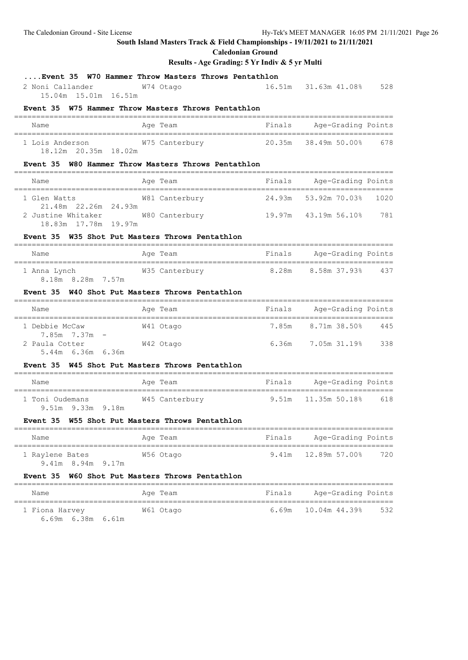**Caledonian Ground**

|                                                                                    | Caituvillall Urvullu<br>Results - Age Grading: 5 Yr Indiv & 5 yr Multi |        |                                                                    |     |
|------------------------------------------------------------------------------------|------------------------------------------------------------------------|--------|--------------------------------------------------------------------|-----|
| Event 35 W70 Hammer Throw Masters Throws Pentathlon                                |                                                                        |        |                                                                    |     |
| W74 Otago<br>2 Noni Callander<br>15.04m 15.01m 16.51m                              |                                                                        |        | 16.51m 31.63m 41.08% 528                                           |     |
| Event 35 W75 Hammer Throw Masters Throws Pentathlon                                |                                                                        |        |                                                                    |     |
| Name                                                                               | Age Team                                                               |        | Finals Age-Grading Points                                          |     |
| 1 Lois Anderson M75 Canterbury<br>18.12m 20.35m 18.02m                             |                                                                        |        | 20.35m 38.49m 50.00% 678                                           |     |
| Event 35 W80 Hammer Throw Masters Throws Pentathlon                                |                                                                        |        |                                                                    |     |
| Name                                                                               | Aqe Team                                                               |        | Finals Age-Grading Points                                          |     |
| 1 Glen Watts<br>21.48m  22.26m  24.93m                                             | W81 Canterbury 14.93m 53.92m 70.03% 1020                               |        |                                                                    |     |
| 2 Justine Whitaker M80 Canterbury 19.97m 43.19m 56.10% 781<br>18.83m 17.78m 19.97m |                                                                        |        |                                                                    |     |
| Event 35 W35 Shot Put Masters Throws Pentathlon                                    |                                                                        |        |                                                                    |     |
| Name                                                                               | ===========================<br>Age Team                                |        | =====================================<br>Finals Age-Grading Points |     |
| 8.18m 8.28m 7.57m                                                                  |                                                                        |        |                                                                    |     |
| Event 35 W40 Shot Put Masters Throws Pentathlon                                    |                                                                        |        |                                                                    |     |
| Name                                                                               | Age Team                                                               |        | Finals Age-Grading Points<br>======================                |     |
| 1 Debbie McCaw<br>7.85m 7.37m -                                                    | W41 Otago                                                              |        | 7.85m 8.71m 38.50% 445                                             |     |
| 2 Paula Cotter W42 Otago<br>5.44m 6.36m 6.36m                                      |                                                                        |        | 6.36m 7.05m 31.19% 338                                             |     |
| Event 35 W45 Shot Put Masters Throws Pentathlon                                    |                                                                        |        |                                                                    |     |
| Age Team<br>Name                                                                   |                                                                        |        | Finals Age-Grading Points                                          |     |
| 1 Toni Oudemans<br>9.51m 9.33m 9.18m                                               | W45 Canterbury                                                         |        | 9.51m 11.35m 50.18% 618                                            |     |
| Event 35                                                                           | W55 Shot Put Masters Throws Pentathlon                                 |        |                                                                    |     |
| Name                                                                               | ___________________________<br>Age Team                                | Finals | Age-Grading Points                                                 |     |
| 1 Raylene Bates<br>9.41m 8.94m 9.17m                                               | W56 Otago                                                              | 9.41m  | 12.89m 57.00%                                                      | 720 |
| Event 35                                                                           | W60 Shot Put Masters Throws Pentathlon                                 |        |                                                                    |     |
|                                                                                    |                                                                        |        |                                                                    |     |

| Name                                  | Age Team  | Finals | Age-Grading Points        |       |
|---------------------------------------|-----------|--------|---------------------------|-------|
| 1 Fiona Harvey<br>6.69m  6.38m  6.61m | W61 Otago |        | $6.69m$ $10.04m$ $44.398$ | - 532 |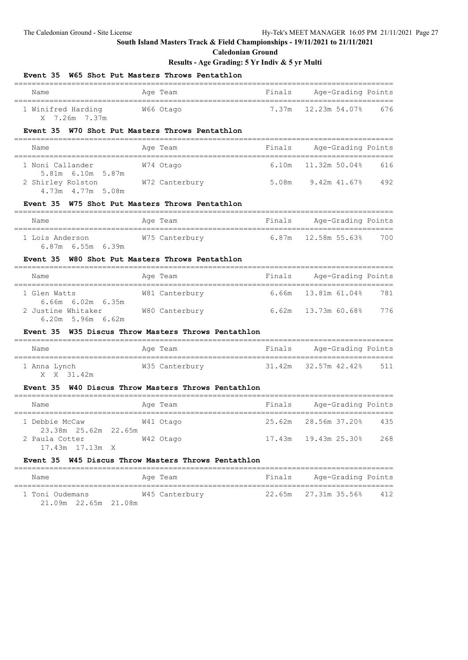**Caledonian Ground**

### **Results - Age Grading: 5 Yr Indiv & 5 yr Multi**

| Event 35                                                                          | W65 Shot Put Masters Throws Pentathlon |                             |                           |     |
|-----------------------------------------------------------------------------------|----------------------------------------|-----------------------------|---------------------------|-----|
| Name                                                                              | Age Team                               | Finals                      | Age-Grading Points        |     |
| 1 Winifred Harding 66 Otago<br>X 7.26m 7.37m                                      |                                        |                             | 7.37m 12.23m 54.07% 676   |     |
| Event 35 W70 Shot Put Masters Throws Pentathlon                                   |                                        |                             |                           |     |
| Name                                                                              | Age Team                               |                             | Finals Age-Grading Points |     |
| 1 Noni Callander                                                                  | W74 Otago                              |                             | 6.10m   11.32m   50.04%   | 616 |
| 5.81m 6.10m 5.87m<br>2 Shirley Rolston M72 Canterbury<br>4.73m  4.77m  5.08m      |                                        |                             | 5.08m 9.42m 41.67% 492    |     |
| Event 35 W75 Shot Put Masters Throws Pentathlon                                   |                                        |                             |                           |     |
| Name                                                                              | Age Team                               |                             | Finals Age-Grading Points |     |
| 1 Lois Anderson M75 Canterbury 6.87m 12.58m 55.63% 700<br>$6.87m$ $6.55m$ $6.39m$ |                                        |                             |                           |     |
| Event 35 W80 Shot Put Masters Throws Pentathlon                                   |                                        |                             |                           |     |
| Name                                                                              | Age Team                               |                             | Finals Age-Grading Points |     |
| 1 Glen Watts                                                                      | W81 Canterbury                         |                             | 6.66m 13.81m 61.04%       | 781 |
| $6.66m$ $6.02m$ $6.35m$<br>2 Justine Whitaker<br>$6.20m$ 5.96m $6.62m$            | W80 Canterbury 6.62m 13.73m 60.68% 776 |                             |                           |     |
| Event 35 W35 Discus Throw Masters Throws Pentathlon                               |                                        |                             |                           |     |
| Name                                                                              | Age Team                               |                             | Finals Age-Grading Points |     |
| 1 Anna Lynch<br>X X 31.42m                                                        | W35 Canterbury                         |                             | 31.42m 32.57m 42.42% 511  |     |
| Event 35 W40 Discus Throw Masters Throws Pentathlon                               |                                        |                             |                           |     |
| Name                                                                              | Age Team                               |                             | Finals Age-Grading Points |     |
| 1 Debbie McCaw                                                                    | W41 Otago                              |                             | 25.62m 28.56m 37.20% 435  |     |
| 2 Paula Cotter<br>17.43m 17.13m X                                                 | W42 Otago                              | 17.43m  19.43m  25.30%  268 |                           |     |
| Event 35 W45 Discus Throw Masters Throws Pentathlon                               |                                        |                             |                           |     |
| Name                                                                              | Age Team                               | Finals                      | Age-Grading Points        |     |

====================================================================================== 1 Toni Oudemans W45 Canterbury 22.65m 27.31m 35.56% 412 21.09m 22.65m 21.08m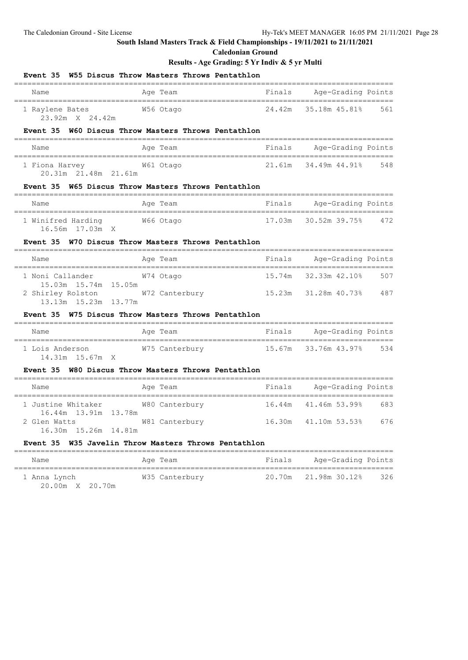#### **Caledonian Ground**

#### **Results - Age Grading: 5 Yr Indiv & 5 yr Multi**

| W55 Discus Throw Masters Throws Pentathlon<br>Event 35                               |        |                                                      |         |
|--------------------------------------------------------------------------------------|--------|------------------------------------------------------|---------|
| Age Team<br>Name                                                                     | Finals | Age-Grading Points                                   |         |
| W56 Otago<br>1 Raylene Bates<br>23.92m X 24.42m                                      | 24.42m | 35.18m 45.81%                                        | 561     |
| Event 35 W60 Discus Throw Masters Throws Pentathlon                                  |        |                                                      |         |
| Name<br>Age Team                                                                     |        | Finals Age-Grading Points                            |         |
| 1 Fiona Harvey 61 Otago<br>20.31m 21.48m 21.61m                                      |        | 21,61m 34,49m 44,91%                                 | 548     |
| Event 35 W65 Discus Throw Masters Throws Pentathlon                                  |        |                                                      |         |
| Name<br>Age Team                                                                     |        | Finals Age-Grading Points                            |         |
| 1 Winifred Harding 66 Otago<br>16.56m 17.03m X                                       |        | 17.03m 30.52m 39.75% 472                             |         |
| W70 Discus Throw Masters Throws Pentathlon<br>Event 35<br>=========================  |        |                                                      |         |
| Name<br>Age Team<br>-------------------------------------                            |        | Finals Age-Grading Points<br>----------------------- |         |
| 1 Noni Callander<br>W74 Otago<br>15.03m  15.74m  15.05m                              |        | 15.74m 32.33m 42.10%                                 | 507     |
| 2 Shirley Rolston<br>W72 Canterbury 15.23m 31.28m 40.73% 487<br>13.13m 15.23m 13.77m |        |                                                      |         |
| Event 35 W75 Discus Throw Masters Throws Pentathlon                                  |        |                                                      |         |
| Age Team<br>Name                                                                     |        | Finals Age-Grading Points<br>===========             | ------- |
| 1 Lois Anderson M75 Canterbury 15.67m 33.76m 43.97% 534<br>14.31m 15.67m X           |        |                                                      |         |
| Event 35 W80 Discus Throw Masters Throws Pentathlon                                  |        |                                                      |         |
| Age Team<br>Name                                                                     |        | Finals Age-Grading Points                            |         |
| 1 Justine Whitaker<br>W80 Canterbury<br>16.44m  13.91m  13.78m                       |        | 16.44m 41.46m 53.99%                                 | 683     |
| W81 Canterbury 16.30m 41.10m 53.53% 676<br>2 Glen Watts<br>16.30m 15.26m 14.81m      |        |                                                      |         |
| Event 35 W35 Javelin Throw Masters Throws Pentathlon                                 |        |                                                      |         |

Name **Age Team** Age Team Finals Age-Grading Points ====================================================================================== 1 Anna Lynch W35 Canterbury 20.70m 21.98m 30.12% 326 20.00m X 20.70m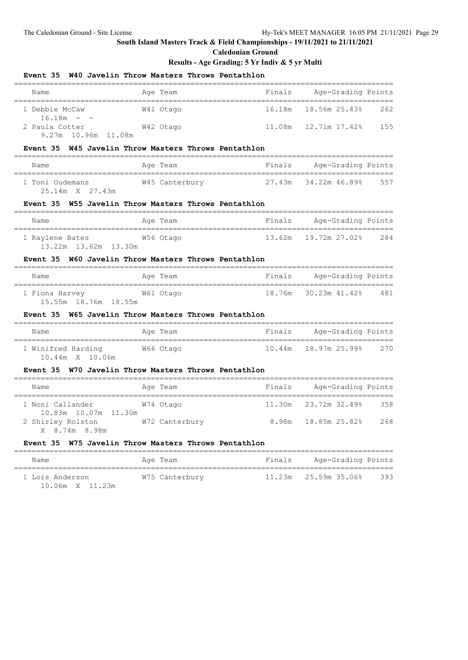#### **Caledonian Ground**

### **Results - Age Grading: 5 Yr Indiv & 5 yr Multi**

| Event 35 W40 Javelin Throw Masters Throws Pentathlon<br>_____________________ |                                             |                           |                             |         |
|-------------------------------------------------------------------------------|---------------------------------------------|---------------------------|-----------------------------|---------|
| Name                                                                          | Age Team                                    | Finals                    | Age-Grading Points          |         |
| 1 Debbie McCaw                                                                | W41 Otago                                   | 16.18m                    | 18.56m 25.43%               | 262     |
| $16.18m - -$<br>2 Paula Cotter<br>9.27m 10.96m 11.08m                         | W42 Otago                                   |                           |                             | 155     |
| Event 35 W45 Javelin Throw Masters Throws Pentathlon                          |                                             |                           |                             |         |
| Name                                                                          | Age Team                                    |                           | Finals Age-Grading Points   |         |
| 1 Toni Oudemans<br>25.14m X 27.43m                                            | W45 Canterbury                              |                           | 27.43m 34.22m 46.89%        | 557     |
| Event 35 W55 Javelin Throw Masters Throws Pentathlon                          |                                             |                           |                             |         |
| Name                                                                          | Age Team                                    |                           | Finals Age-Grading Points   |         |
| 1 Raylene Bates 6 6 256 Otago<br>13.22m 13.62m 13.30m                         |                                             |                           | 13.62m  19.72m  27.02%  284 |         |
| Event 35 W60 Javelin Throw Masters Throws Pentathlon                          |                                             |                           |                             |         |
| Name                                                                          | Age Team                                    |                           | Finals Age-Grading Points   |         |
| 1 Fiona Harvey M61 Otago<br>15.55m 18.76m 18.55m                              |                                             |                           | 18.76m 30.23m 41.42% 481    |         |
| Event 35 W65 Javelin Throw Masters Throws Pentathlon                          |                                             |                           | ---------------             |         |
| Name                                                                          | Age Team                                    |                           | Finals Age-Grading Points   |         |
| 1 Winifred Harding<br>10.44m X 10.06m                                         | W66 Otago                                   | 10.44m                    | 18.97m 25.99%               | 270     |
| Event 35 W70 Javelin Throw Masters Throws Pentathlon                          |                                             |                           |                             |         |
| Name                                                                          | Age Team                                    |                           | Finals Age-Grading Points   | ======= |
| 1 Noni Callander<br>10.83m  10.07m  11.30m                                    | W74 Otago                                   |                           | 11.30m 23.72m 32.49%        | 358     |
| 2 Shirley Rolston<br>X 8.74m 8.98m                                            | W72 Canterbury 6.98m 18.85m 25.82% 268      |                           |                             |         |
| Event 35                                                                      | W75 Javelin Throw Masters Throws Pentathlon |                           |                             |         |
| $N \geq m \geq$                                                               | Ana Taam                                    | Finals Age-Grading Points |                             |         |

Name **Age Team Replace Age Team** Finals Age-Grading Points

| 1 Lois Anderson |                 | W75 Canterbury |  |  |
|-----------------|-----------------|----------------|--|--|
|                 | 10.06m X 11.23m |                |  |  |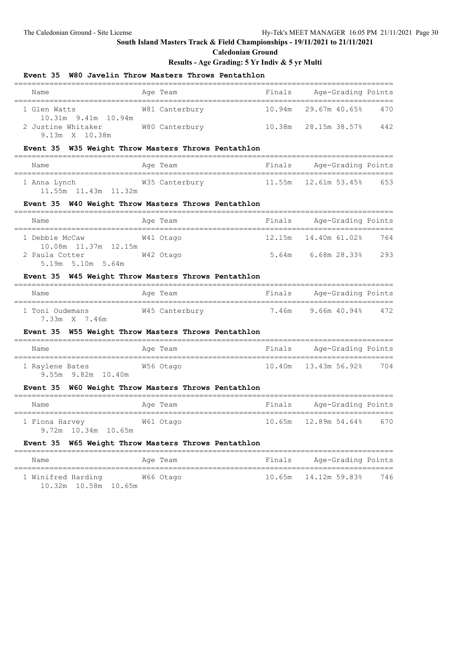10.32m 10.58m 10.65m

## **South Island Masters Track & Field Championships - 19/11/2021 to 21/11/2021**

#### **Caledonian Ground**

### **Results - Age Grading: 5 Yr Indiv & 5 yr Multi**

## **Event 35 W80 Javelin Throw Masters Throws Pentathlon**

|                                                                                  | wou Javelin Inrow Masters Inrows Pentathion |                             |     |
|----------------------------------------------------------------------------------|---------------------------------------------|-----------------------------|-----|
| Name                                                                             | Age Team                                    | Finals Age-Grading Points   |     |
| 1 Glen Watts                                                                     | W81 Canterbury                              | 10.94m 29.67m 40.65%        | 470 |
| 10.31m 9.41m 10.94m<br>2 Justine Whitaker<br>9.13m X 10.38m                      | W80 Canterbury                              | 10.38m 28.15m 38.57% 442    |     |
| Event 35 W35 Weight Throw Masters Throws Pentathlon                              |                                             |                             |     |
| Name                                                                             | Age Team                                    | Finals Age-Grading Points   |     |
| 11.55m  11.43m  11.32m                                                           |                                             |                             | 653 |
| Event 35 W40 Weight Throw Masters Throws Pentathlon                              |                                             |                             |     |
| Name                                                                             | Age Team                                    | Finals Age-Grading Points   |     |
| 1 Debbie McCaw                                                                   | W41 Otago                                   |                             | 764 |
| 10.08m  11.37m  12.15m<br>2 Paula Cotter<br>5.19m 5.10m 5.64m                    | W42 Otago                                   |                             | 293 |
| Event 35 W45 Weight Throw Masters Throws Pentathlon                              |                                             |                             |     |
| Name                                                                             | Age Team                                    | Finals Age-Grading Points   |     |
| 1 Toni Oudemans 6 12 M45 Canterbury 6 1.46m in 9.66m 40.94% 472<br>7.33m X 7.46m |                                             |                             |     |
| Event 35 W55 Weight Throw Masters Throws Pentathlon                              |                                             |                             |     |
| Name                                                                             | Age Team                                    | Finals Age-Grading Points   |     |
| 1 Raylene Bates<br>9.55m 9.82m 10.40m                                            | W56 Otago                                   | 10.40m  13.43m  56.92%  704 |     |
| Event 35 W60 Weight Throw Masters Throws Pentathlon                              |                                             |                             |     |
| Name                                                                             | Age Team                                    | Finals Age-Grading Points   |     |
| 1 Fiona Harvey<br>9.72m 10.34m 10.65m                                            | W61 Otago                                   | 10.65m  12.89m  54.64%  670 |     |
| Event 35 W65 Weight Throw Masters Throws Pentathlon                              |                                             |                             |     |
| Name                                                                             | Age Team                                    | Finals Age-Grading Points   |     |
|                                                                                  |                                             |                             |     |

1 Winifred Harding W66 Otago 10.65m 14.12m 59.83% 746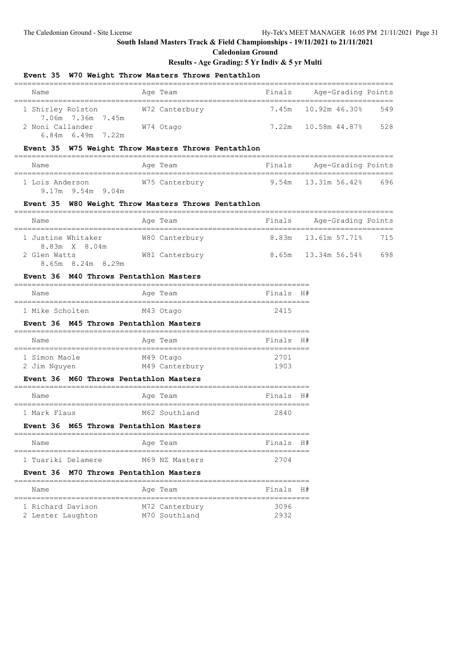#### **Caledonian Ground**

#### **Results - Age Grading: 5 Yr Indiv & 5 yr Multi**

### **Event 35 W70 Weight Throw Masters Throws Pentathlon**

| Name                                        | Age Team       | Finals | Age-Grading Points  |     |
|---------------------------------------------|----------------|--------|---------------------|-----|
| 1 Shirley Rolston<br>7.06m 7.36m 7.45m      | W72 Canterbury |        | 7.45m 10.92m 46.30% | 549 |
| 2 Noni Callander<br>$6.84m$ $6.49m$ $7.22m$ | W74 Otago      |        | 7.22m 10.58m 44.87% | 528 |

#### **Event 35 W75 Weight Throw Masters Throws Pentathlon**

| Name                                   | Age Team       | Finals | Age-Grading Points    |     |
|----------------------------------------|----------------|--------|-----------------------|-----|
| 1 Lois Anderson<br>$9.17m$ 9.54m 9.04m | W75 Canterbury |        | $9.54m$ 13.31m 56.42% | 696 |

#### **Event 35 W80 Weight Throw Masters Throws Pentathlon**

| Name                                   | Age Team       | Finals | Age-Grading Points  |     |
|----------------------------------------|----------------|--------|---------------------|-----|
| 1 Justine Whitaker<br>8.83m X 8.04m    | W80 Canterbury |        | 8.83m 13.61m 57.71% | 715 |
| 2 Glen Watts<br>8.65m 8.24m 8.29m      | W81 Canterbury |        | 8.65m 13.34m 56.54% | 698 |
| Event 36 M40 Throws Pentathlon Masters |                |        |                     |     |

| Name            | Age Team  | Finals H# |  |
|-----------------|-----------|-----------|--|
| 1 Mike Scholten | M43 Otago | 2415      |  |

#### **Event 36 M45 Throws Pentathlon Masters**

| Name          | Age Team       | Finals H# |  |
|---------------|----------------|-----------|--|
| 1 Simon Maole | M49 Otago      | 2701      |  |
| 2 Jim Nguyen  | M49 Canterbury | 1903      |  |

#### **Event 36 M60 Throws Pentathlon Masters**

| Name         | Age Team      | Finals H# |  |
|--------------|---------------|-----------|--|
|              |               |           |  |
| 1 Mark Flaus | M62 Southland | 2840      |  |

#### **Event 36 M65 Throws Pentathlon Masters**

| Name |                    | Age Team |                | Finals H# |  |
|------|--------------------|----------|----------------|-----------|--|
|      |                    |          |                |           |  |
|      | 1 Tuariki Delamere |          | M69 NZ Masters | 2704      |  |

#### **Event 36 M70 Throws Pentathlon Masters**

| Name                                   | Age Team                        | Finals H#    |  |
|----------------------------------------|---------------------------------|--------------|--|
| 1 Richard Davison<br>2 Lester Laughton | M72 Canterbury<br>M70 Southland | 3096<br>2932 |  |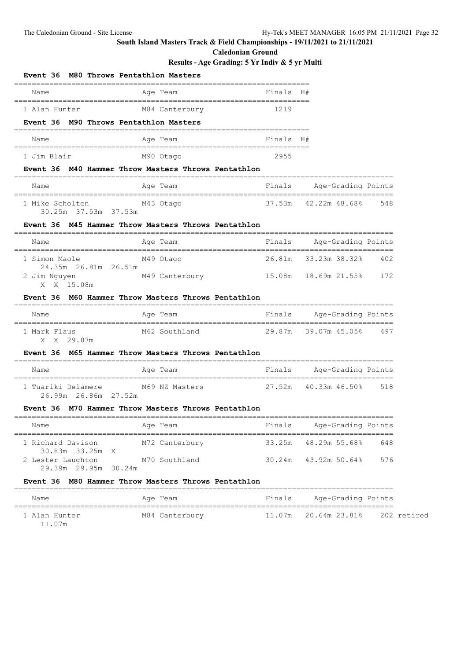**Event 36 M80 Throws Pentathlon Masters**

## **South Island Masters Track & Field Championships - 19/11/2021 to 21/11/2021**

**Caledonian Ground**

### **Results - Age Grading: 5 Yr Indiv & 5 yr Multi**

| Name                                                    | -----------<br>Age Team                                               | Finals | H#                       |             |
|---------------------------------------------------------|-----------------------------------------------------------------------|--------|--------------------------|-------------|
| 1 Alan Hunter<br>Event 36 M90 Throws Pentathlon Masters | M84 Canterbury                                                        | 1219   |                          |             |
| Name                                                    | ===============<br>Age Team                                           | Finals | H#                       |             |
| 1 Jim Blair                                             | M90 Otago                                                             | 2955   |                          |             |
|                                                         | Event 36 M40 Hammer Throw Masters Throws Pentathlon<br>______________ |        |                          |             |
| Name                                                    | Age Team                                                              | Finals | Age-Grading Points       |             |
| 1 Mike Scholten<br>30.25m 37.53m 37.53m                 | M43 Otago                                                             | 37.53m | 42.22m 48.68%            | 548         |
|                                                         | Event 36 M45 Hammer Throw Masters Throws Pentathlon                   |        |                          |             |
| Name                                                    | Age Team                                                              | Finals | Age-Grading Points       |             |
| 1 Simon Maole<br>24.35m 26.81m 26.51m                   | M49 Otago                                                             |        | 26.81m 33.23m 38.32% 402 |             |
| 2 Jim Nguyen<br>X X 15.08m                              | M49 Canterbury                                                        |        | 15.08m  18.69m  21.55%   | 172         |
|                                                         | Event 36 M60 Hammer Throw Masters Throws Pentathlon                   |        |                          |             |
| Name                                                    | Age Team                                                              | Finals | Age-Grading Points       |             |
| 1 Mark Flaus<br>X X 29.87m                              | M62 Southland                                                         |        | 29.87m 39.07m 45.05% 497 |             |
|                                                         | Event 36 M65 Hammer Throw Masters Throws Pentathlon                   |        |                          |             |
| Name                                                    | Age Team                                                              | Finals | Age-Grading Points       |             |
| 1 Tuariki Delamere<br>26.99m 26.86m 27.52m              | M69 NZ Masters                                                        | 27.52m | 40.33m 46.50%            | 518         |
| <b>Event 36</b>                                         | M70 Hammer Throw Masters Throws Pentathlon                            |        |                          |             |
| Name                                                    | Age Team                                                              | Finals | Age-Grading Points       |             |
| 1 Richard Davison<br>30.83m 33.25m X                    | M72 Canterbury                                                        |        | 33.25m 48.29m 55.68%     | 648         |
| 2 Lester Laughton M70 Southland<br>29.39m 29.95m 30.24m |                                                                       | 30.24m | 43.92m 50.64%            | 576         |
|                                                         | Event 36 M80 Hammer Throw Masters Throws Pentathlon                   |        |                          |             |
| Name                                                    | Age Team                                                              | Finals | Age-Grading Points       |             |
| 1 Alan Hunter                                           | M84 Canterbury                                                        | 11.07m | 20.64m 23.81%            | 202 retired |

11.07m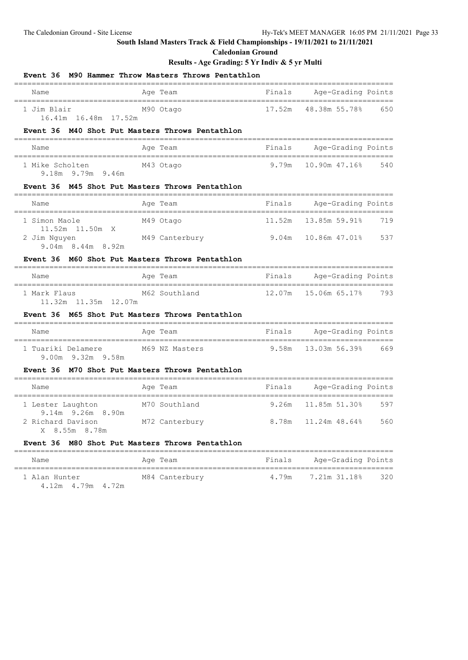### **Caledonian Ground**

## **Results - Age Grading: 5 Yr Indiv & 5 yr Multi**

| Event 36 M90 Hammer Throw Masters Throws Pentathlon                         |                |                  |                                                    |     |
|-----------------------------------------------------------------------------|----------------|------------------|----------------------------------------------------|-----|
| Name                                                                        | Age Team       | Finals           | Age-Grading Points                                 |     |
| 1 Jim Blair<br>16.41m 16.48m 17.52m                                         | M90 Otago      | 17.52m           | 48.38m 55.78%                                      | 650 |
| Event 36 M40 Shot Put Masters Throws Pentathlon                             |                |                  |                                                    |     |
| Name                                                                        | Age Team       | Finals           | Age-Grading Points<br>============================ |     |
| 1 Mike Scholten<br>9.18m 9.79m 9.46m                                        | M43 Otago      | 9.79m            | 10.90m 47.16%                                      | 540 |
| Event 36 M45 Shot Put Masters Throws Pentathlon<br>---------------------    |                | ---------------- | ----------------                                   |     |
| Name                                                                        | Age Team       | Finals           | Age-Grading Points                                 |     |
| 1 Simon Maole                                                               | M49 Otago      | 11.52m           | 13.85m 59.91%                                      | 719 |
| 11.52m 11.50m X<br>2 Jim Nguyen<br>$9.04m$ 8.44m 8.92m                      | M49 Canterbury | 9.04m            | 10.86m 47.01%                                      | 537 |
| Event 36 M60 Shot Put Masters Throws Pentathlon                             |                |                  |                                                    |     |
| Name                                                                        | Age Team       | Finals           | Age-Grading Points                                 |     |
| 1 Mark Flaus<br>11.32m 11.35m 12.07m                                        | M62 Southland  | 12.07m           | 15.06m 65.17%                                      | 793 |
| Event 36 M65 Shot Put Masters Throws Pentathlon                             |                |                  |                                                    |     |
| Name                                                                        | Age Team       | Finals           | Age-Grading Points                                 |     |
| 1 Tuariki Delamere<br>9.00m 9.32m 9.58m                                     | M69 NZ Masters | 9.58m            | 13.03m 56.39%                                      | 669 |
| Event 36 M70 Shot Put Masters Throws Pentathlon<br>________________________ |                |                  |                                                    |     |
| Name                                                                        | Age Team       | Finals           | Age-Grading Points                                 |     |
| 1 Lester Laughton<br>9.14m 9.26m 8.90m                                      | M70 Southland  | 9.26m            | 11.85m 51.30%                                      | 597 |
| 2 Richard Davison<br>X 8.55m 8.78m                                          | M72 Canterbury | 8.78m            | 11.24m 48.64%                                      | 560 |
| Event 36 M80 Shot Put Masters Throws Pentathlon                             |                |                  |                                                    |     |
| Name                                                                        | Age Team       | Finals           | Age-Grading Points                                 |     |
| 1 Alan Hunter                                                               | M84 Canterbury | 4.79m            | 7.21m 31.18%                                       | 320 |

4.12m 4.79m 4.72m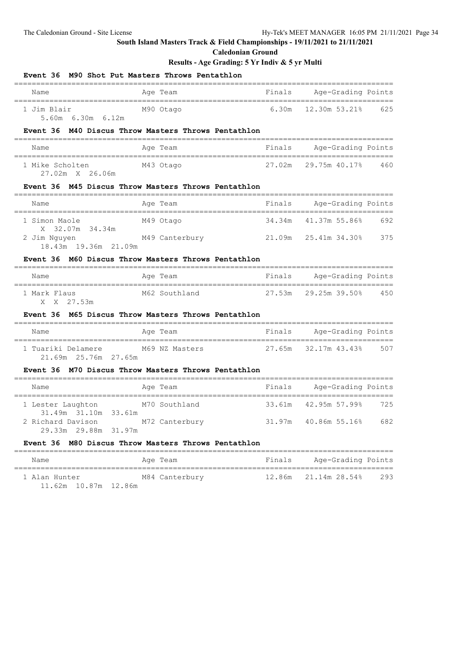**Caledonian Ground**

## **Results - Age Grading: 5 Yr Indiv & 5 yr Multi**

| Event 36                                                          | M90 Shot Put Masters Throws Pentathlon                                         |        |                    |     |
|-------------------------------------------------------------------|--------------------------------------------------------------------------------|--------|--------------------|-----|
| Name                                                              | Age Team                                                                       | Finals | Age-Grading Points |     |
| 1 Jim Blair<br>5.60m 6.30m 6.12m                                  | M90 Otago                                                                      | 6.30m  | 12.30m 53.21%      | 625 |
| Event 36                                                          | M40 Discus Throw Masters Throws Pentathlon                                     |        |                    |     |
| Name                                                              | Age Team                                                                       | Finals | Age-Grading Points |     |
| 1 Mike Scholten<br>27.02m X 26.06m                                | M43 Otago                                                                      | 27.02m | 29.75m 40.17%      | 460 |
|                                                                   | Event 36 M45 Discus Throw Masters Throws Pentathlon<br>_______________________ |        |                    |     |
| Name                                                              | Age Team                                                                       | Finals | Age-Grading Points |     |
| 1 Simon Maole                                                     | M49 Otago                                                                      | 34.34m | 41.37m 55.86%      | 692 |
| 32.07m 34.34m<br>X.<br>2 Jim Nguyen<br>18.43m 19.36m 21.09m       | M49 Canterbury                                                                 | 21.09m | 25.41m 34.30%      | 375 |
|                                                                   | Event 36 M60 Discus Throw Masters Throws Pentathlon                            |        |                    |     |
| Name                                                              | Age Team                                                                       | Finals | Age-Grading Points |     |
| 1 Mark Flaus<br>X X 27.53m                                        | M62 Southland                                                                  | 27.53m | $29.25m$ 39.50%    | 450 |
| Event 36                                                          | M65 Discus Throw Masters Throws Pentathlon                                     |        |                    |     |
| Name                                                              | Age Team                                                                       | Finals | Age-Grading Points |     |
| 1 Tuariki Delamere<br>21.69m 25.76m 27.65m                        | M69 NZ Masters                                                                 | 27.65m | 32.17m 43.43%      | 507 |
| <b>Event 36</b>                                                   | M70 Discus Throw Masters Throws Pentathlon                                     |        |                    |     |
| Name                                                              | Age Team                                                                       | Finals | Age-Grading Points |     |
| 1 Lester Laughton                                                 | M70 Southland                                                                  | 33.61m | 42.95m 57.99%      | 725 |
| 31.49m 31.10m 33.61m<br>2 Richard Davison<br>29.33m 29.88m 31.97m | M72 Canterbury                                                                 | 31.97m |                    | 682 |
|                                                                   | Event 36 M80 Discus Throw Masters Throws Pentathlon                            |        |                    |     |
| Name                                                              | Age Team                                                                       | Finals | Age-Grading Points |     |
| 1 Alan Hunter                                                     | M84 Canterbury                                                                 | 12.86m | 21.14m 28.54%      | 293 |

11.62m 10.87m 12.86m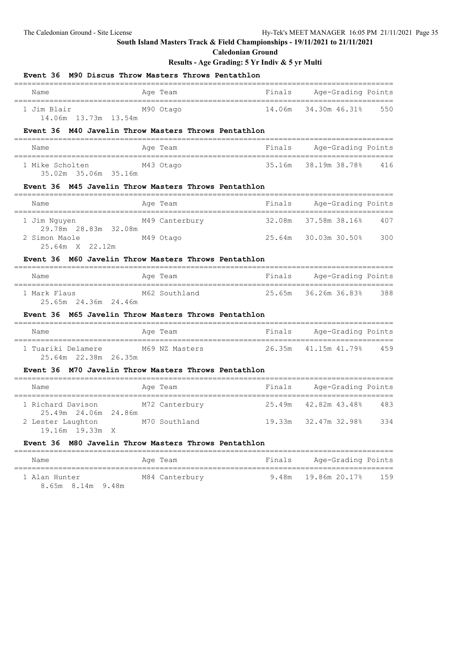#### **Caledonian Ground**

### **Results - Age Grading: 5 Yr Indiv & 5 yr Multi**

| <b>Event 36</b>                              | M90 Discus Throw Masters Throws Pentathlon           |                                        |                           |     |
|----------------------------------------------|------------------------------------------------------|----------------------------------------|---------------------------|-----|
| Name                                         | Age Team                                             | Finals                                 | Age-Grading Points        |     |
| 1 Jim Blair<br>14.06m  13.73m  13.54m        | M90 Otago                                            | 14.06m                                 | 34.30m 46.31%             | 550 |
|                                              | Event 36 M40 Javelin Throw Masters Throws Pentathlon |                                        |                           |     |
| Name                                         | Age Team                                             | Finals                                 | Age-Grading Points        |     |
| 1 Mike Scholten<br>35.02m 35.06m 35.16m      | M43 Otago                                            | 35.16m                                 | 38.19m 38.78%             | 416 |
|                                              | Event 36 M45 Javelin Throw Masters Throws Pentathlon |                                        |                           |     |
| Name<br>___________________________________  | Age Team                                             | ______________________________________ | Finals Age-Grading Points |     |
| 1 Jim Nguyen                                 | M49 Canterbury                                       | 32.08m                                 | 37.58m 38.16%             | 407 |
| 2 Simon Maole<br>25.64m X 22.12m             | M49 Otago                                            |                                        | 25.64m 30.03m 30.50%      | 300 |
|                                              | Event 36 M60 Javelin Throw Masters Throws Pentathlon |                                        |                           |     |
| Name<br>==================================== | Age Team                                             | Finals                                 | Age-Grading Points        |     |
| 1 Mark Flaus<br>25.65m 24.36m 24.46m         | M62 Southland                                        | 25.65m                                 | 36.26m 36.83%             | 388 |
|                                              | Event 36 M65 Javelin Throw Masters Throws Pentathlon |                                        |                           |     |
| Name<br>__________________________________   | Age Team                                             |                                        | Finals Age-Grading Points |     |
| 1 Tuariki Delamere<br>25.64m 22.38m 26.35m   | M69 NZ Masters                                       | 26.35m                                 | 41.15m 41.79% 459         |     |
|                                              | Event 36 M70 Javelin Throw Masters Throws Pentathlon |                                        |                           |     |
| Name                                         | Age Team                                             |                                        | Finals Age-Grading Points |     |
| 1 Richard Davison<br>25.49m 24.06m 24.86m    | M72 Canterbury                                       | 25.49m                                 | 42.82m 43.48%             | 483 |
| 2 Lester Laughton<br>19.16m 19.33m X         | M70 Southland                                        | 19.33m                                 | 32.47m 32.98%             | 334 |
| <b>Event 36</b>                              | M80 Javelin Throw Masters Throws Pentathlon          |                                        |                           |     |
|                                              |                                                      |                                        |                           |     |

1 Alan Hunter M84 Canterbury 9.48m 19.86m 20.17% 159

8.65m 8.14m 9.48m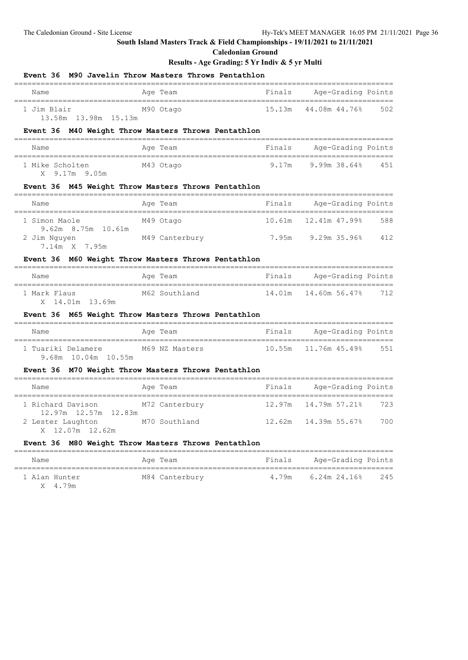**Caledonian Ground**

| Event 36 M90 Javelin Throw Masters Throws Pentathlon |                                            |        |                                              |     |
|------------------------------------------------------|--------------------------------------------|--------|----------------------------------------------|-----|
| Name                                                 | Age Team                                   | Finals | Age-Grading Points<br>====================== |     |
| M90 Otago<br>1 Jim Blair<br>13.58m 13.98m 15.13m     |                                            | 15.13m | 44.08m  44.76%                               | 502 |
| Event 36 M40 Weight Throw Masters Throws Pentathlon  |                                            |        |                                              |     |
| Name                                                 | Age Team                                   | Finals | Age-Grading Points                           |     |
| 1 Mike Scholten<br>X 9.17m 9.05m                     | M43 Otago                                  | 9.17m  | 9.99m 38.64% 451                             |     |
| Event 36 M45 Weight Throw Masters Throws Pentathlon  |                                            |        |                                              |     |
| Name                                                 | Age Team                                   | Finals | Age-Grading Points                           |     |
| 1 Simon Maole                                        | M49 Otago                                  |        | 10.61m    12.41m    47.99%                   | 588 |
| 9.62m 8.75m 10.61m<br>2 Jim Nguyen<br>7.14m X 7.95m  | M49 Canterbury 1.95m 9.29m 35.96% 412      |        |                                              |     |
| Event 36 M60 Weight Throw Masters Throws Pentathlon  |                                            |        |                                              |     |
| Name                                                 | Age Team                                   |        | Finals Age-Grading Points                    |     |
| 1 Mark Flaus<br>X 14.01m 13.69m                      | M62 Southland                              |        | 14.01m  14.60m  56.47%                       | 712 |
| Event 36 M65 Weight Throw Masters Throws Pentathlon  |                                            |        |                                              |     |
| Name                                                 | Age Team                                   | Finals | Age-Grading Points                           |     |
| 1 Tuariki Delamere<br>9.68m 10.04m 10.55m            | M69 NZ Masters                             |        |                                              | 551 |
| Event 36 M70 Weight Throw Masters Throws Pentathlon  |                                            |        |                                              |     |
| Name                                                 | Age Team                                   | Finals | Age-Grading Points                           |     |
| 1 Richard Davison<br>12.97m  12.57m  12.83m          | M72 Canterbury                             |        |                                              | 723 |
| 2 Lester Laughton M70 Southland<br>X 12.07m 12.62m   |                                            |        |                                              | 700 |
| Event 36                                             | M80 Weight Throw Masters Throws Pentathlon |        |                                              |     |
| Name                                                 | Age Team                                   | Finals | Age-Grading Points                           |     |
| 1 Alan Hunter<br>X 4.79m                             | M84 Canterbury                             | 4.79m  | 6.24m 24.16%                                 | 245 |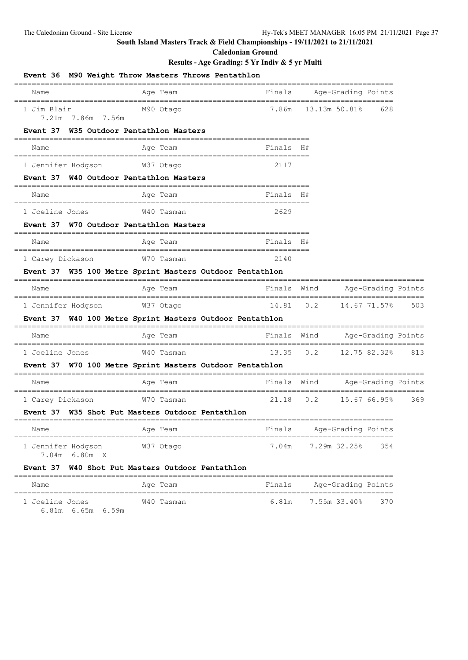**Caledonian Ground**

|                                                | Event 36 M90 Weight Throw Masters Throws Pentathlon         |             |          |                                   |                    |     |
|------------------------------------------------|-------------------------------------------------------------|-------------|----------|-----------------------------------|--------------------|-----|
| Name                                           | Age Team                                                    |             |          | Finals Age-Grading Points         |                    |     |
| 1 Jim Blair<br>7.21m 7.86m 7.56m               | M90 Otago                                                   | 7.86m       |          | 13.13m 50.81%                     | 628                |     |
| Event 37                                       | W35 Outdoor Pentathlon Masters<br>========================= |             |          |                                   |                    |     |
| Name                                           | Age Team                                                    | Finals H#   |          |                                   |                    |     |
| 1 Jennifer Hodgson                             | W37 Otago                                                   | 2117        |          |                                   |                    |     |
| Event 37 W40 Outdoor Pentathlon Masters        |                                                             |             |          |                                   |                    |     |
| Name                                           | Age Team                                                    | Finals H#   |          |                                   |                    |     |
| 1 Joeline Jones                                | W40 Tasman                                                  | 2629        |          |                                   |                    |     |
| Event 37 W70 Outdoor Pentathlon Masters        |                                                             |             |          |                                   |                    |     |
| Name                                           | Age Team                                                    | Finals H#   |          |                                   |                    |     |
| 1 Carey Dickason                               | W70 Tasman                                                  | 2140        |          |                                   |                    |     |
|                                                | Event 37 W35 100 Metre Sprint Masters Outdoor Pentathlon    |             |          |                                   |                    |     |
| Name                                           | Age Team                                                    | Finals Wind |          |                                   | Age-Grading Points |     |
| 1 Jennifer Hodgson                             | W37 Otago                                                   | 14.81       | 0.2      |                                   | 14.67 71.57%       | 503 |
|                                                | Event 37 W40 100 Metre Sprint Masters Outdoor Pentathlon    |             |          |                                   |                    |     |
| Name<br>;===================================== | Age Team                                                    | Finals Wind |          |                                   | Age-Grading Points |     |
| 1 Joeline Jones                                | W40 Tasman                                                  | 13.35       | 0.2      | ================================= | 12.75 82.32%       | 813 |
|                                                | Event 37 W70 100 Metre Sprint Masters Outdoor Pentathlon    |             |          |                                   |                    |     |
| Name                                           | Aqe Team                                                    | Finals Wind | ======   |                                   | Age-Grading Points |     |
| 1 Carey Dickason                               | W70 Tasman                                                  | 21.18       | 0.2      | =========================         | 15.67 66.95%       | 369 |
|                                                | Event 37 W35 Shot Put Masters Outdoor Pentathlon            |             |          |                                   |                    |     |
| Name<br>====================================   | Age Team                                                    | Finals      | -------- | Age-Grading Points                |                    |     |
| 1 Jennifer Hodgson<br>7.04m 6.80m X            | ------------------------<br>W37 Otago                       | 7.04m       |          | 7.29m 32.25%                      | 354                |     |
|                                                | Event 37 W40 Shot Put Masters Outdoor Pentathlon            |             |          |                                   |                    |     |
| Name                                           | Age Team                                                    | Finals      |          | Age-Grading Points                |                    |     |
| 1 Joeline Jones<br>6.81m 6.65m 6.59m           | W40 Tasman                                                  | 6.81m       |          | 7.55m 33.40%                      | 370                |     |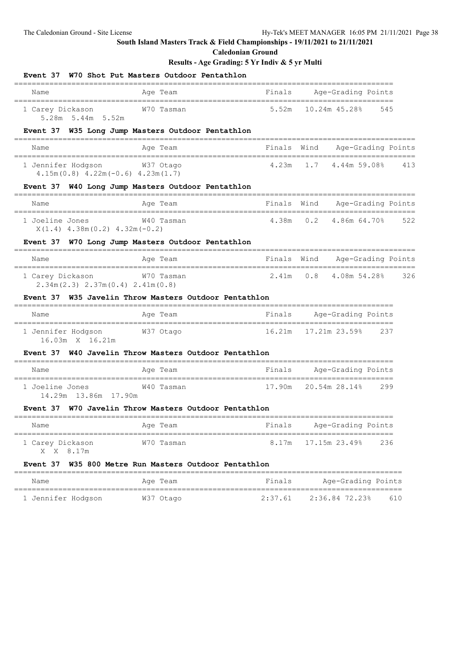**Caledonian Ground**

| Name                                                          | Age Team                                              | Finals      |     | Age-Grading Points                            |     |
|---------------------------------------------------------------|-------------------------------------------------------|-------------|-----|-----------------------------------------------|-----|
| 1 Carey Dickason<br>5.28m 5.44m 5.52m                         | W70 Tasman                                            | 5.52m       |     | 10.24m 45.28%                                 | 545 |
|                                                               | Event 37 W35 Long Jump Masters Outdoor Pentathlon     |             |     |                                               |     |
| Name                                                          | Age Team                                              | Finals Wind |     | Age-Grading Points<br>----------------------- |     |
| 1 Jennifer Hodgson<br>$4.15m(0.8)$ $4.22m(-0.6)$ $4.23m(1.7)$ | W37 Otago                                             | 4.23m       | 1.7 | 4.44m 59.08%                                  | 413 |
|                                                               | Event 37 W40 Long Jump Masters Outdoor Pentathlon     |             |     |                                               |     |
| Name                                                          | Age Team                                              | Finals Wind |     | Age-Grading Points                            |     |
| 1 Joeline Jones<br>$X(1.4)$ 4.38m $(0.2)$ 4.32m $(-0.2)$      | W40 Tasman                                            | 4.38m       | 0.2 | 4.86m 64.70%                                  | 522 |
|                                                               | Event 37 W70 Long Jump Masters Outdoor Pentathlon     |             |     |                                               |     |
| Name                                                          | Age Team                                              | Finals Wind |     | Age-Grading Points                            |     |
| 1 Carey Dickason<br>$2.34m(2.3)$ $2.37m(0.4)$ $2.41m(0.8)$    | W70 Tasman                                            | 2.41m       | 0.8 | 4.08m 54.28%                                  | 326 |
|                                                               | Event 37 W35 Javelin Throw Masters Outdoor Pentathlon |             |     |                                               |     |
| Name                                                          | Age Team                                              | Finals      |     | Age-Grading Points                            |     |
| 1 Jennifer Hodgson<br>16.03m X 16.21m                         | W37 Otago                                             | 16.21m      |     | 17.21m 23.59%                                 | 237 |
| <b>Event 37</b>                                               | W40 Javelin Throw Masters Outdoor Pentathlon          |             |     |                                               |     |
| Name                                                          | Age Team                                              | Finals      |     | Age-Grading Points                            |     |
| 1 Joeline Jones<br>14.29m 13.86m 17.90m                       | W40 Tasman                                            | 17.90m      |     | 20.54m 28.14%                                 | 299 |
|                                                               | Event 37 W70 Javelin Throw Masters Outdoor Pentathlon |             |     |                                               |     |
| Name                                                          | Age Team                                              | Finals      |     | Age-Grading Points                            |     |
| ---------------------                                         |                                                       |             |     |                                               |     |

| Name               | Age Team  | Finals  | Age-Grading Points |     |
|--------------------|-----------|---------|--------------------|-----|
| 1 Jennifer Hodgson | W37 Otago | 2:37.61 | 2:36.84 72.23%     | 610 |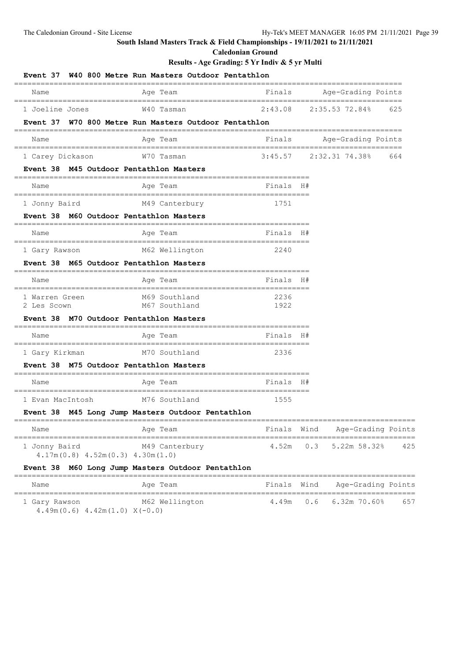**Caledonian Ground**

|                                                         | Event 37 W40 800 Metre Run Masters Outdoor Pentathlon<br>________________________ |                                         |     |                                                 |     |
|---------------------------------------------------------|-----------------------------------------------------------------------------------|-----------------------------------------|-----|-------------------------------------------------|-----|
| Name                                                    | Age Team<br>________________________                                              | Finals                                  |     | Age-Grading Points<br>,,,,,,,,,,,,,,,,,,,,,,,,, |     |
| 1 Joeline Jones                                         | W40 Tasman                                                                        | 2:43.08                                 |     | 2:35.53 72.84%                                  | 625 |
| <b>Event 37</b>                                         | W70 800 Metre Run Masters Outdoor Pentathlon                                      |                                         |     |                                                 |     |
| Name                                                    | Age Team                                                                          | Finals                                  |     | Age-Grading Points<br>=======================   |     |
| 1 Carey Dickason                                        | W70 Tasman                                                                        |                                         |     | $3:45.57$ $2:32.31$ $74.38%$                    | 664 |
| Event 38 M45 Outdoor Pentathlon Masters                 |                                                                                   |                                         |     |                                                 |     |
| Name<br>-------------------------                       | Age Team                                                                          | Finals H#                               |     |                                                 |     |
| 1 Jonny Baird                                           | M49 Canterbury                                                                    | 1751                                    |     |                                                 |     |
| Event 38 M60 Outdoor Pentathlon Masters                 |                                                                                   |                                         |     |                                                 |     |
| Name                                                    | Age Team                                                                          | Finals H#                               |     |                                                 |     |
| =========================<br>1 Gary Rawson              | M62 Wellington                                                                    | ============================<br>2240    |     |                                                 |     |
| Event 38 M65 Outdoor Pentathlon Masters                 |                                                                                   |                                         |     |                                                 |     |
| Name                                                    | ===============<br>Age Team<br>======================                             | Finals H#                               |     |                                                 |     |
| 1 Warren Green<br>2 Les Scown                           | M69 Southland<br>M67 Southland                                                    | 2236<br>1922                            |     |                                                 |     |
| Event 38 M70 Outdoor Pentathlon Masters                 |                                                                                   |                                         |     |                                                 |     |
| =====================================<br>Name           | Age Team                                                                          | -------------------------<br>Finals H#  |     |                                                 |     |
| 1 Gary Kirkman                                          | M70 Southland                                                                     | 2336                                    |     |                                                 |     |
| <b>Event 38</b>                                         | M75 Outdoor Pentathlon Masters<br>============                                    |                                         |     |                                                 |     |
| Name                                                    | Age Team                                                                          | Finals H#                               |     |                                                 |     |
| 1 Evan MacIntosh                                        | M76 Southland                                                                     | _______________________________<br>1555 |     |                                                 |     |
|                                                         | Event 38 M45 Long Jump Masters Outdoor Pentathlon                                 |                                         |     |                                                 |     |
| Name                                                    | Age Team                                                                          | Finals Wind                             |     | Age-Grading Points                              |     |
| 1 Jonny Baird<br>$4.17m(0.8)$ $4.52m(0.3)$ $4.30m(1.0)$ | M49 Canterbury                                                                    | 4.52m                                   | 0.3 | 5.22m 58.32%                                    | 425 |
|                                                         | Event 38 M60 Long Jump Masters Outdoor Pentathlon                                 | =============                           |     |                                                 |     |
| Name<br>==================================              | Age Team                                                                          | Finals Wind                             |     | Age-Grading Points                              |     |
| 1 Gary Rawson                                           | ====================<br>M62 Wellington                                            | =====<br>4.49m                          | 0.6 | $6.32m$ $70.60\%$                               | 657 |

|  | $4.49m(0.6)$ $4.42m(1.0)$ $X(-0.0)$ |  |
|--|-------------------------------------|--|
|--|-------------------------------------|--|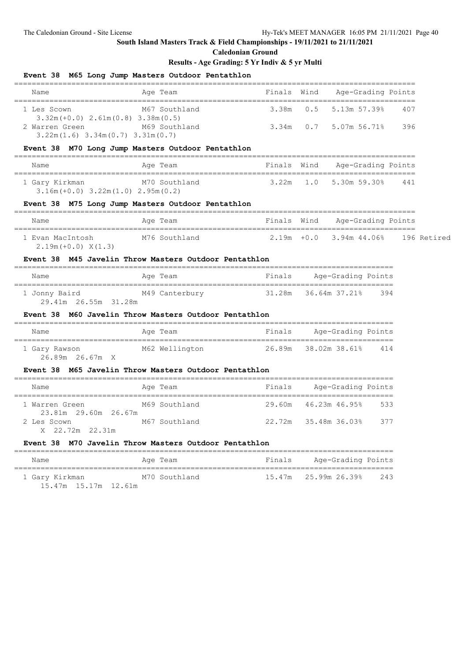**Caledonian Ground**

### **Results - Age Grading: 5 Yr Indiv & 5 yr Multi**

|                                                                            | Event 38 M65 Long Jump Masters Outdoor Pentathlon                                    |                                    |     |                                       |     |  |
|----------------------------------------------------------------------------|--------------------------------------------------------------------------------------|------------------------------------|-----|---------------------------------------|-----|--|
| Name                                                                       | Age Team                                                                             | Finals Wind                        |     | Age-Grading Points                    |     |  |
| 1 Les Scown<br>$3.32m (+0.0) 2.61m (0.8) 3.38m (0.5)$                      | M67 Southland                                                                        | 3.38m                              | 0.5 | 5.13m 57.39%                          | 407 |  |
| 2 Warren Green M69 Southland<br>$3.22m(1.6)$ $3.34m(0.7)$ $3.31m(0.7)$     |                                                                                      | 3.34m                              |     | $0.7$ 5.07m 56.71%                    | 396 |  |
|                                                                            | Event 38 M70 Long Jump Masters Outdoor Pentathlon<br>=======================         | ,,,,,,,,,,,,,,,,,,,,,,,,,,,,,,,,,, |     |                                       |     |  |
| Name                                                                       | Age Team                                                                             |                                    |     | Finals Wind Age-Grading Points        |     |  |
| 1 Gary Kirkman M70 Southland<br>$3.16m (+0.0)$ $3.22m (1.0)$ $2.95m (0.2)$ |                                                                                      |                                    |     | $3.22m$ $1.0$ $5.30m$ $59.30\%$ $441$ |     |  |
|                                                                            | Event 38 M75 Long Jump Masters Outdoor Pentathlon                                    | _____________________              |     |                                       |     |  |
| Name                                                                       | Age Team                                                                             |                                    |     | Finals Wind Age-Grading Points        |     |  |
| 1 Evan MacIntosh<br>$2.19m (+0.0) X(1.3)$                                  | M76 Southland                           2.19m  +0.0     3.94m 44.06%     196 Retired |                                    |     |                                       |     |  |
|                                                                            | Event 38 M45 Javelin Throw Masters Outdoor Pentathlon                                |                                    |     |                                       |     |  |
| Name                                                                       | Age Team                                                                             | Finals                             |     | Age-Grading Points                    |     |  |
| 29.41m 26.55m 31.28m                                                       | 1 Jonny Baird M49 Canterbury 31.28m 36.64m 37.21% 394                                |                                    |     |                                       |     |  |
|                                                                            | Event 38 M60 Javelin Throw Masters Outdoor Pentathlon                                |                                    |     |                                       |     |  |
| Name                                                                       | Age Team                                                                             |                                    |     | Finals Age-Grading Points             |     |  |
| 1 Gary Rawson M62 Wellington<br>26.89m 26.67m X                            |                                                                                      |                                    |     | 26.89m 38.02m 38.61% 414              |     |  |
|                                                                            | Event 38 M65 Javelin Throw Masters Outdoor Pentathlon                                |                                    |     |                                       |     |  |
| Name                                                                       | Age Team                                                                             |                                    |     | Finals Age-Grading Points             |     |  |
| 1 Warren Green<br>23.81m 29.60m 26.67m                                     | M69 Southland                                                                        |                                    |     | 29.60m  46.23m  46.95%<br>533         |     |  |
| 2 Les Scown<br>X 22.72m 22.31m                                             | M67 Southland                                                                        |                                    |     | 22.72m 35.48m 36.03% 377              |     |  |
| <b>Event 38</b>                                                            | M70 Javelin Throw Masters Outdoor Pentathlon                                         |                                    |     |                                       |     |  |
| Name<br>========================                                           | Age Team                                                                             | Finals                             |     | Age-Grading Points                    |     |  |
| 1 Gary Kirkman                                                             | M70 Southland                                                                        | 15.47m                             |     | 25.99m 26.39%                         | 243 |  |

15.47m 15.17m 12.61m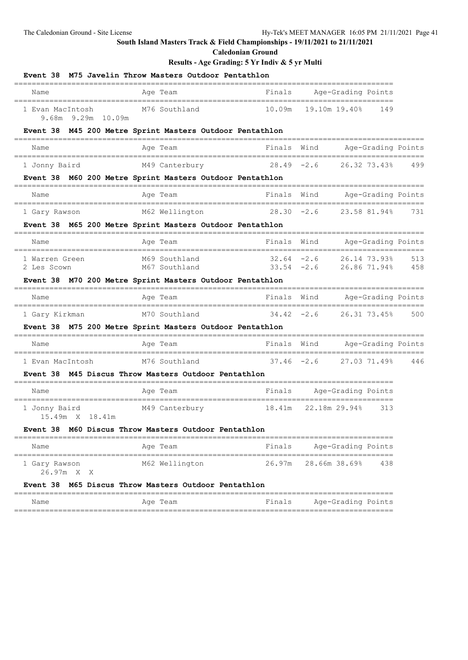## **Caledonian Ground**

### **Results - Age Grading: 5 Yr Indiv & 5 yr Multi**

|                                             | Event 38 M75 Javelin Throw Masters Outdoor Pentathlon    |               |               |                    |                              |                    |
|---------------------------------------------|----------------------------------------------------------|---------------|---------------|--------------------|------------------------------|--------------------|
| Name                                        | Age Team                                                 | Finals        |               | Age-Grading Points |                              |                    |
| 1 Evan MacIntosh<br>9.68m 9.29m 10.09m      | M76 Southland                                            | 10.09m        |               | 19.10m 19.40%      | 149                          |                    |
|                                             | Event 38 M45 200 Metre Sprint Masters Outdoor Pentathlon |               |               |                    |                              |                    |
| Name                                        | Age Team                                                 | Finals        | Wind          |                    |                              | Age-Grading Points |
| 1 Jonny Baird                               | M49 Canterbury                                           | $28.49 - 2.6$ |               |                    | 26.32 73.43%                 | 499                |
|                                             | Event 38 M60 200 Metre Sprint Masters Outdoor Pentathlon |               |               |                    |                              |                    |
| Name                                        | Age Team                                                 | Finals        | Wind          |                    |                              | Age-Grading Points |
| 1 Gary Rawson                               | M62 Wellington                                           | $28.30 - 2.6$ |               |                    | 23.58 81.94%                 | 731                |
|                                             | Event 38 M65 200 Metre Sprint Masters Outdoor Pentathlon |               |               |                    |                              |                    |
| Name                                        | Age Team                                                 | Finals        | Wind          |                    |                              | Age-Grading Points |
| 1 Warren Green<br>2 Les Scown               | M69 Southland<br>M67 Southland                           | $32.64 - 2.6$ | $33.54 -2.6$  |                    | 26.14 73.93%<br>26.86 71.94% | 513<br>458         |
|                                             | Event 38 M70 200 Metre Sprint Masters Outdoor Pentathlon |               |               |                    |                              |                    |
| Name                                        | Age Team                                                 | Finals        | Wind          |                    |                              | Age-Grading Points |
| 1 Gary Kirkman                              | M70 Southland                                            | $34.42 - 2.6$ |               |                    | 26.31 73.45%                 | 500                |
|                                             | Event 38 M75 200 Metre Sprint Masters Outdoor Pentathlon |               |               |                    |                              |                    |
| Name                                        | Age Team                                                 | Finals Wind   |               |                    |                              | Age-Grading Points |
| 1 Evan MacIntosh                            | M76 Southland                                            | $37.46 - 2.6$ |               |                    | 27.03 71.49%                 | 446                |
|                                             | Event 38 M45 Discus Throw Masters Outdoor Pentathlon     |               |               |                    |                              |                    |
| Name                                        | Age Team                                                 | Finals        |               | Age-Grading Points |                              |                    |
| 1 Jonny Baird<br>15.49m X 18.41m            | M49 Canterbury                                           | 18.41m        | 22.18m 29.94% |                    | 313                          |                    |
|                                             | Event 38 M60 Discus Throw Masters Outdoor Pentathlon     |               |               |                    |                              |                    |
| Name                                        | Age Team                                                 | Finals        |               | Age-Grading Points |                              |                    |
| ============<br>1 Gary Rawson<br>26.97m X X | M62 Wellington                                           | 26.97m        |               | 28.66m 38.69%      | 438                          |                    |
|                                             | Event 38 M65 Discus Throw Masters Outdoor Pentathlon     |               |               |                    |                              |                    |
| Name                                        | Age Team                                                 | Finals        |               | Age-Grading Points |                              |                    |

======================================================================================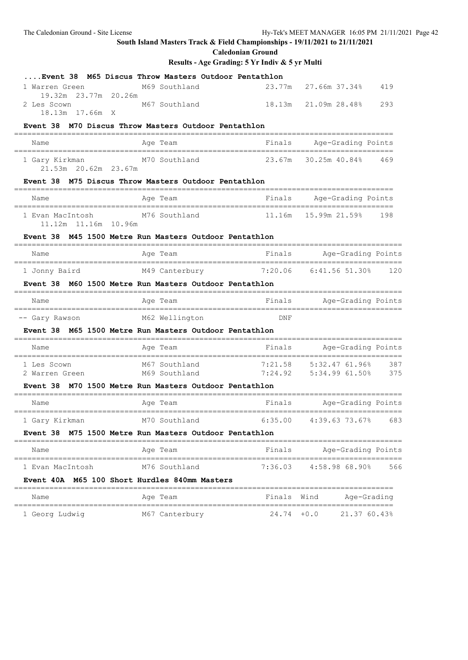**Caledonian Ground**

| Event 38 M65 Discus Throw Masters Outdoor Pentathlon                                                                                                                                                  |                                           |                 |                           |     |
|-------------------------------------------------------------------------------------------------------------------------------------------------------------------------------------------------------|-------------------------------------------|-----------------|---------------------------|-----|
| 1 Warren Green                                                                                                                                                                                        | M69 Southland                             | 23.77m          | 27.66m 37.34%             | 419 |
| 19.32m 23.77m 20.26m<br>2 Les Scown                                                                                                                                                                   | M67 Southland                             | 18.13m          | 21.09m 28.48% 293         |     |
| 18.13m 17.66m X                                                                                                                                                                                       |                                           |                 |                           |     |
| Event 38 M70 Discus Throw Masters Outdoor Pentathlon                                                                                                                                                  | _______________________                   |                 |                           |     |
| Name<br>_________________________________                                                                                                                                                             | Age Team                                  |                 | Finals Age-Grading Points |     |
| 1 Gary Kirkman M70 Southland 23.67m<br>21.53m  20.62m  23.67m                                                                                                                                         |                                           |                 | 30.25m 40.84% 469         |     |
| Event 38 M75 Discus Throw Masters Outdoor Pentathlon                                                                                                                                                  |                                           |                 |                           |     |
| Name                                                                                                                                                                                                  | =======================<br>Age Team       |                 | Finals Age-Grading Points |     |
| 1 Evan MacIntosh<br>11.12m  11.16m  10.96m                                                                                                                                                            | M76 Southland                             | 11 <b>.</b> 16m | 15.99m 21.59% 198         |     |
| Event 38 M45 1500 Metre Run Masters Outdoor Pentathlon                                                                                                                                                |                                           |                 |                           |     |
| Name                                                                                                                                                                                                  | Age Team                                  |                 | Finals Mge-Grading Points |     |
| .=====================================<br>1 Jonny Baird                                                                                                                                               | M49 Canterbury 7:20.06 6:41.56 51.30% 120 |                 |                           |     |
| Event 38 M60 1500 Metre Run Masters Outdoor Pentathlon                                                                                                                                                |                                           |                 |                           |     |
| Name                                                                                                                                                                                                  | Age Team                                  |                 | Finals Age-Grading Points |     |
| -- Gary Rawson                                                                                                                                                                                        | M62 Wellington DNF                        |                 |                           |     |
| Event 38 M65 1500 Metre Run Masters Outdoor Pentathlon                                                                                                                                                |                                           |                 |                           |     |
| Name                                                                                                                                                                                                  | Age Team                                  |                 | Finals Age-Grading Points |     |
| 1 Les Scown                           M67 Southland                     7:21.58     5:32.47 61.96%     387<br>2 Warren Green           M69 Southland               7:24.92     5:34.99 61.50%     375 |                                           |                 |                           |     |
|                                                                                                                                                                                                       |                                           |                 |                           |     |
| Event 38 M70 1500 Metre Run Masters Outdoor Pentathlon                                                                                                                                                |                                           |                 |                           |     |
| Name<br>===================================                                                                                                                                                           | Age Team                                  |                 | Finals Age-Grading Points |     |
| 1 Gary Kirkman                                                                                                                                                                                        | M70 Southland                             | 6:35.00         | 4:39.63 73.67% 683        |     |
| Event 38 M75 1500 Metre Run Masters Outdoor Pentathlon                                                                                                                                                |                                           |                 |                           |     |
| Name                                                                                                                                                                                                  | Age Team                                  | Finals          | Age-Grading Points        |     |
| 1 Evan MacIntosh                                                                                                                                                                                      | M76 Southland                             | 7:36.03         | 4:58.98 68.90%            | 566 |
| Event 40A M65 100 Short Hurdles 840mm Masters                                                                                                                                                         |                                           |                 |                           |     |
| Name                                                                                                                                                                                                  | Age Team                                  | Finals Wind     | Age-Grading               |     |
| 1 Georg Ludwig                                                                                                                                                                                        | M67 Canterbury                            | $24.74 + 0.0$   | 21.37 60.43%              |     |